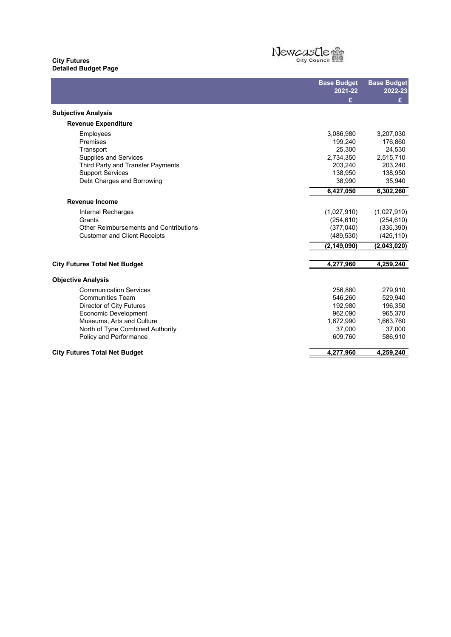### City Futures Detailed Budget Page



|                                               | <b>Base Budget</b> | <b>Base Budget</b> |
|-----------------------------------------------|--------------------|--------------------|
|                                               | 2021-22            | 2022-23            |
|                                               | £                  | £                  |
| <b>Subjective Analysis</b>                    |                    |                    |
| <b>Revenue Expenditure</b>                    |                    |                    |
| Employees                                     | 3,086,980          | 3,207,030          |
| Premises                                      | 199,240            | 176,860            |
| Transport                                     | 25,300             | 24,530             |
| Supplies and Services                         | 2,734,350          | 2,515,710          |
| Third Party and Transfer Payments             | 203,240            | 203,240            |
| <b>Support Services</b>                       | 138,950            | 138,950            |
| Debt Charges and Borrowing                    | 38,990             | 35,940             |
|                                               | 6,427,050          | 6,302,260          |
| <b>Revenue Income</b>                         |                    |                    |
| Internal Recharges                            | (1,027,910)        | (1,027,910)        |
| Grants                                        | (254, 610)         | (254, 610)         |
| <b>Other Reimbursements and Contributions</b> | (377,040)          | (335, 390)         |
| <b>Customer and Client Receipts</b>           | (489, 530)         | (425, 110)         |
|                                               | (2, 149, 090)      | (2,043,020)        |
|                                               |                    |                    |
| <b>City Futures Total Net Budget</b>          | 4,277,960          | 4,259,240          |
| <b>Objective Analysis</b>                     |                    |                    |
| <b>Communication Services</b>                 | 256.880            | 279,910            |
| <b>Communities Team</b>                       | 546,260            | 529,940            |
| Director of City Futures                      | 192,980            | 196,350            |
| Economic Development                          | 962,090            | 965,370            |
| Museums. Arts and Culture                     | 1,672,990          | 1,663,760          |
| North of Tyne Combined Authority              | 37,000             | 37,000             |
| Policy and Performance                        | 609,760            | 586,910            |
| <b>City Futures Total Net Budget</b>          | 4,277,960          | 4,259,240          |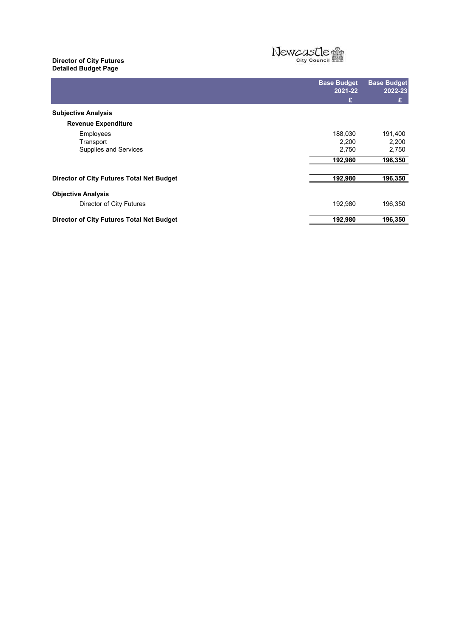#### Director of City Futures Detailed Budget Page L



|                                                  | <b>Base Budget</b><br>2021-22 | <b>Base Budget</b><br>2022-23 |
|--------------------------------------------------|-------------------------------|-------------------------------|
|                                                  | £                             | £                             |
| <b>Subjective Analysis</b>                       |                               |                               |
| <b>Revenue Expenditure</b>                       |                               |                               |
| Employees                                        | 188,030                       | 191,400                       |
| Transport                                        | 2,200                         | 2,200                         |
| <b>Supplies and Services</b>                     | 2,750                         | 2,750                         |
|                                                  | 192,980                       | 196,350                       |
| <b>Director of City Futures Total Net Budget</b> | 192,980                       | 196,350                       |
| <b>Objective Analysis</b>                        |                               |                               |
| Director of City Futures                         | 192,980                       | 196,350                       |
| Director of City Futures Total Net Budget        | 192,980                       | 196,350                       |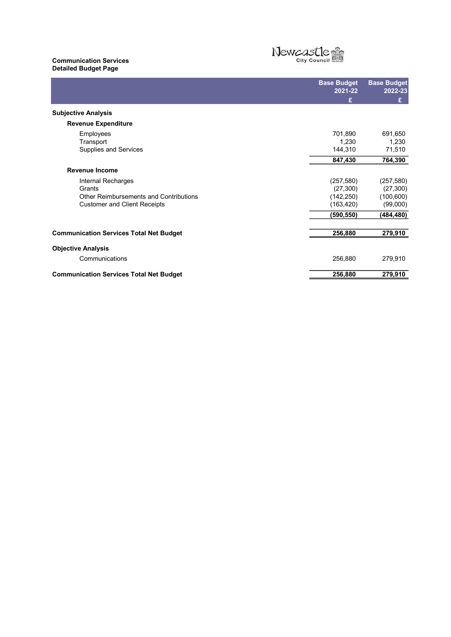# Communication Services Detailed Budget Page



|                                                | <b>Base Budget</b> | <b>Base Budget</b> |
|------------------------------------------------|--------------------|--------------------|
|                                                | 2021-22<br>£       | 2022-23<br>£       |
| <b>Subjective Analysis</b>                     |                    |                    |
| <b>Revenue Expenditure</b>                     |                    |                    |
| Employees                                      | 701,890            | 691,650            |
| Transport                                      | 1,230              | 1,230              |
| Supplies and Services                          | 144,310            | 71,510             |
|                                                | 847,430            | 764,390            |
| <b>Revenue Income</b>                          |                    |                    |
| Internal Recharges                             | (257, 580)         | (257, 580)         |
| Grants                                         | (27, 300)          | (27, 300)          |
| <b>Other Reimbursements and Contributions</b>  | (142, 250)         | (100, 600)         |
| <b>Customer and Client Receipts</b>            | (163, 420)         | (99,000)           |
|                                                | (590, 550)         | (484,480)          |
| <b>Communication Services Total Net Budget</b> | 256,880            | 279,910            |
| <b>Objective Analysis</b>                      |                    |                    |
| Communications                                 | 256,880            | 279,910            |
| <b>Communication Services Total Net Budget</b> | 256,880            | 279.910            |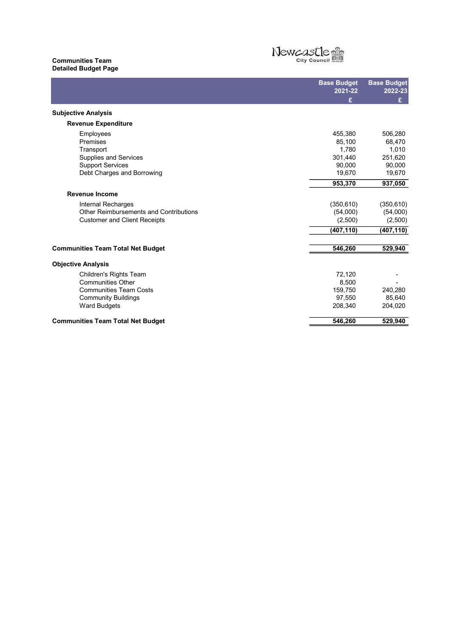# Communities Team Detailed Budget Page



|                                          | <b>Base Budget</b><br>2021-22 | <b>Base Budget</b><br>2022-23 |
|------------------------------------------|-------------------------------|-------------------------------|
|                                          | £                             | £                             |
| <b>Subjective Analysis</b>               |                               |                               |
| <b>Revenue Expenditure</b>               |                               |                               |
| Employees                                | 455.380                       | 506.280                       |
| Premises                                 | 85,100                        | 68,470                        |
| Transport                                | 1.780                         | 1,010                         |
| <b>Supplies and Services</b>             | 301,440                       | 251,620                       |
| <b>Support Services</b>                  | 90.000                        | 90,000                        |
| Debt Charges and Borrowing               | 19,670                        | 19,670                        |
|                                          | 953,370                       | 937,050                       |
| <b>Revenue Income</b>                    |                               |                               |
| Internal Recharges                       | (350, 610)                    | (350, 610)                    |
| Other Reimbursements and Contributions   | (54,000)                      | (54,000)                      |
| <b>Customer and Client Receipts</b>      | (2,500)                       | (2,500)                       |
|                                          | (407, 110)                    | (407, 110)                    |
| <b>Communities Team Total Net Budget</b> | 546,260                       | 529,940                       |
|                                          |                               |                               |
| <b>Objective Analysis</b>                |                               |                               |
| Children's Rights Team                   | 72,120                        |                               |
| <b>Communities Other</b>                 | 8,500                         |                               |
| <b>Communities Team Costs</b>            | 159,750                       | 240,280                       |
| <b>Community Buildings</b>               | 97,550                        | 85,640                        |
| <b>Ward Budgets</b>                      | 208,340                       | 204,020                       |
| <b>Communities Team Total Net Budget</b> | 546.260                       | 529,940                       |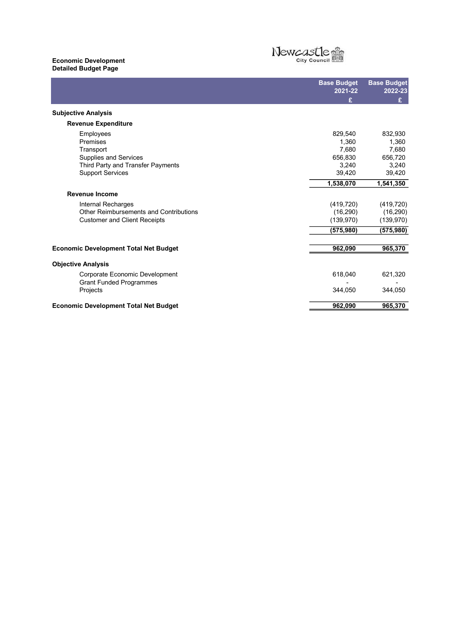#### Economic Development Detailed Budget Page



|                                              | <b>Base Budget</b><br>2021-22 | <b>Base Budget</b><br>2022-23 |
|----------------------------------------------|-------------------------------|-------------------------------|
|                                              | £                             | £                             |
|                                              |                               |                               |
| <b>Subjective Analysis</b>                   |                               |                               |
| <b>Revenue Expenditure</b>                   |                               |                               |
| Employees                                    | 829,540                       | 832,930                       |
| Premises                                     | 1,360                         | 1,360                         |
| Transport                                    | 7.680                         | 7,680                         |
| <b>Supplies and Services</b>                 | 656,830                       | 656,720                       |
| Third Party and Transfer Payments            | 3.240                         | 3,240                         |
| <b>Support Services</b>                      | 39,420                        | 39,420                        |
|                                              | 1,538,070                     | 1,541,350                     |
| <b>Revenue Income</b>                        |                               |                               |
| Internal Recharges                           | (419, 720)                    | (419, 720)                    |
| Other Reimbursements and Contributions       | (16, 290)                     | (16, 290)                     |
| <b>Customer and Client Receipts</b>          | (139, 970)                    | (139, 970)                    |
|                                              | (575, 980)                    | (575,980)                     |
|                                              |                               |                               |
| <b>Economic Development Total Net Budget</b> | 962,090                       | 965,370                       |
| <b>Objective Analysis</b>                    |                               |                               |
| Corporate Economic Development               | 618,040                       | 621,320                       |
| <b>Grant Funded Programmes</b>               |                               |                               |
| Projects                                     | 344,050                       | 344.050                       |
| <b>Economic Development Total Net Budget</b> | 962,090                       | 965,370                       |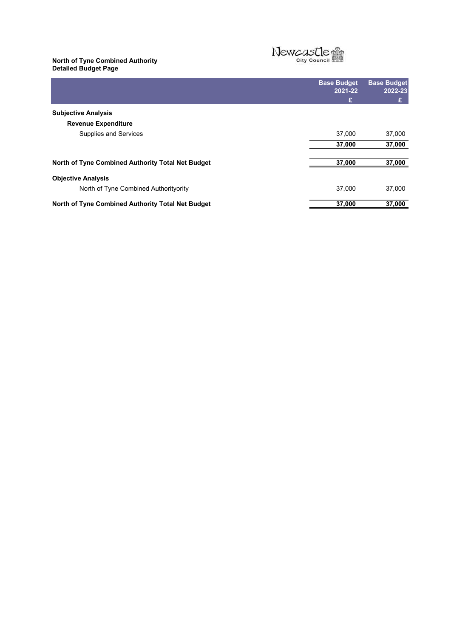# North of Tyne Combined Authority Detailed Budget Page

# Newcastle

L Base Budget 2021-22 **Base Budget** 2022-23  $E = \sum_{i=1}^{n} E_i$ Subjective Analysis Revenue Expenditure Supplies and Services 37,000 37,000 37,000 37,000 North of Tyne Combined Authority Total Net Budget 37,000 37,000 37,000 Objective Analysis North of Tyne Combined Authorityority 37,000 37,000 North of Tyne Combined Authority Total Net Budget 37,000 37,000 37,000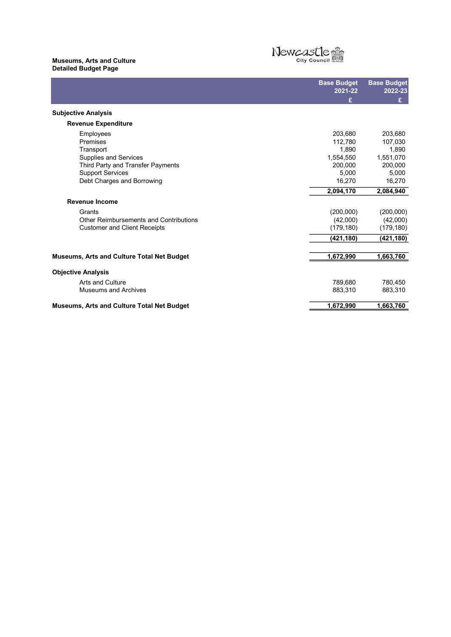### Museums, Arts and Culture Detailed Budget Page



L Base Budget 2021-22 Base Budget 2022-23  $E = \sum_{i=1}^{n} E_i$ Subjective Analysis Revenue Expenditure Employees 203,680 203,680 Premises 112,780 107,030 Transport 1,890 1,890 Transport 1,890 1,890<br>Supplies and Services 1,551,070 1,554,550 1,551,070 Third Party and Transfer Payments 200,000 200,000 200,000 200,000 200,000 200,000 200,000 200,000 200,000 200,000 5,000 5,000 5,000 5,000 5,000 5,000 5,000 5,000 5,000 5,000 5,000 5,000 5,000 5,000 5,000 5,000 5,000 5,000 Support Services 5,000 5,000 5,000 5,000 5,000 5,000 5,000 5,000 5,000 5,000 5,000 5,000 5,000 5,000 5,000 5,000 5,000 5,000 5,000 5,000 5,000 5,000 5,000 5,000 5,000 5,000 5,000 5,000 5,000 5,000 5,000 5,000 5,000 5,000 5 Debt Charges and Borrowing 2,094,170 2,084,940 Revenue Income Grants (200,000) (200,000) (200,000) Other Reimbursements and Contributions (42,000) (42,000) (42,000)<br>Customer and Client Receipts (179,180) (179,180) (179,180) Customer and Client Receipts (179,180) (179,180) (421,180) (421,180) Museums, Arts and Culture Total Net Budget 1,672,990 1,663,760 Objective Analysis Arts and Culture 780,450 and Culture 789,680 and Culture 780,450 and 2012 and 2013<br>Museums and Archives 780,450 and 2014 and 2014 and 2014 and 2014 and 2014 and 2014 and 2014 and 2014 and 2014 Museums and Archives **883,310** 883,310 Museums, Arts and Culture Total Net Budget 1,672,990 1,663,760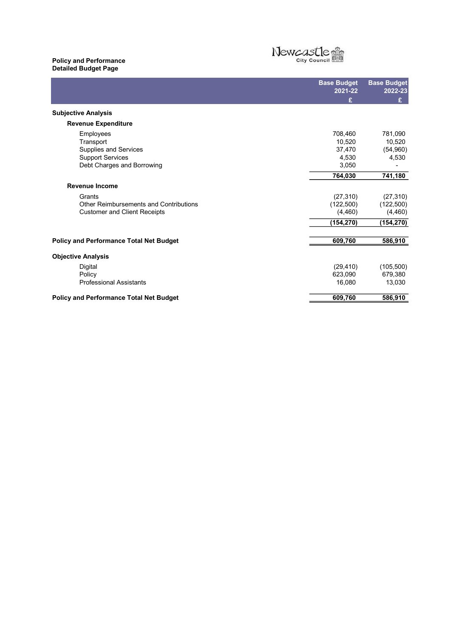#### Policy and Performance Detailed Budget Page

L



|                                                | <b>Base Budget</b> | <b>Base Budget</b> |
|------------------------------------------------|--------------------|--------------------|
|                                                | 2021-22<br>£       | 2022-23<br>£       |
| <b>Subjective Analysis</b>                     |                    |                    |
| <b>Revenue Expenditure</b>                     |                    |                    |
| Employees                                      | 708,460            | 781,090            |
| Transport                                      | 10,520             | 10,520             |
| <b>Supplies and Services</b>                   | 37,470             | (54,960)           |
| <b>Support Services</b>                        | 4,530              | 4,530              |
| Debt Charges and Borrowing                     | 3,050              |                    |
|                                                | 764,030            | 741,180            |
| <b>Revenue Income</b>                          |                    |                    |
| Grants                                         | (27, 310)          | (27, 310)          |
| Other Reimbursements and Contributions         | (122,500)          | (122, 500)         |
| <b>Customer and Client Receipts</b>            | (4,460)            | (4, 460)           |
|                                                | (154, 270)         | (154, 270)         |
|                                                |                    |                    |
| <b>Policy and Performance Total Net Budget</b> | 609,760            | 586,910            |
| <b>Objective Analysis</b>                      |                    |                    |
| Digital                                        | (29, 410)          | (105, 500)         |
| Policy                                         | 623,090            | 679,380            |
| <b>Professional Assistants</b>                 | 16,080             | 13,030             |

# Policy and Performance Total Net Budget 609,760 586,910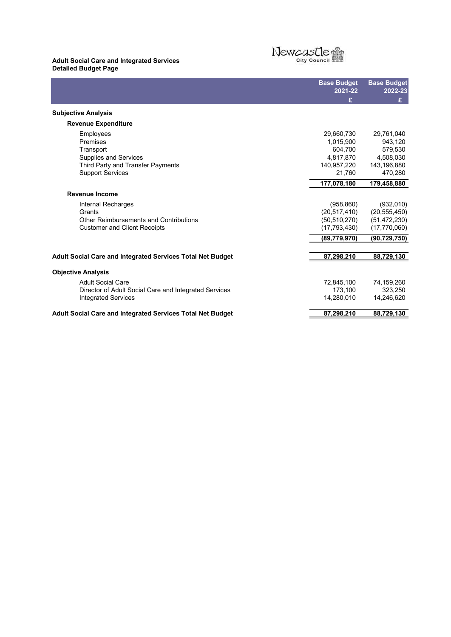#### Adult Social Care and Integrated Services Detailed Budget Page L



Base Budget 2021-22 Base Budget 2022-23  $E = \sum_{i=1}^{n} E_i$ Subjective Analysis Revenue Expenditure Employees 29,660,730 29,761,040 Premises 343,120 Transport 604,700 579,530 Transport 604,700 579,530<br>Supplies and Services 604,700 4,817,870 4,508,030 Third Party and Transfer Payments 140,957,220 143,196,880<br>Support Services 21,760 170,280 Support Services 21,760 177,078,180 179,458,880 Revenue Income Internal Recharges (958,860) (932,010) Grants (20,517,410) (20,555,450) Other Reimbursements and Contributions (50,510,270) (51,472,230)<br>Customer and Client Receipts (17,793,430) (17,770,060) Customer and Client Receipts (17,793,430) (89,779,970) (90,729,750) Adult Social Care and Integrated Services Total Net Budget 87,298,210 88,729,130 Objective Analysis Adult Social Care 72,845,100 74,159,260 Director of Adult Social Care and Integrated Services 173,100 323,250<br>Integrated Services 14,246,620 14,246,620 Integrated Services Adult Social Care and Integrated Services Total Net Budget 87,298,210 88,729,130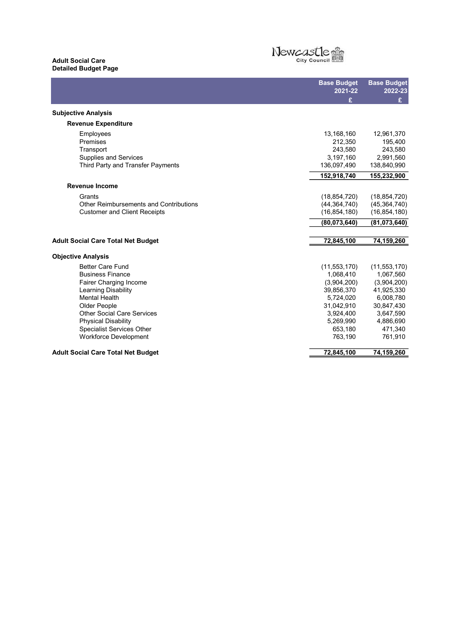# Adult Social Care Detailed Budget Page



L Base Budget 2021-22 Base Budget 2022-23  $E = \sum_{i=1}^{n} E_i$ Subjective Analysis Revenue Expenditure Employees 13,168,160 12,961,370 Premises 212,350 195,400 Transport 243,580 243,580 Transport 243,580 243,580 243,580 243,580 243,580 243,580 243,580 243,580 25,197,160 2,991,560 2,991,560 2,991,560 2,991,560 2,991,560 2,991,560 2,991,560 2,991,560 2,991,560 2,991,560 2,991,560 2,991,560 2,991,560 2,991,5 Third Party and Transfer Payments 136,097,490 138,840,990 138,840,990 152,918,740 155,232,900 Revenue Income Grants (18,854,720) (18,854,720) Grants (18,854,720) (18,854,720) (18,854,720) (18,854,720)<br>Other Reimbursements and Contributions (44,364,740) (45,364,740) (45,364,740) (45,364,740) (5,854,180) Customer and Client Receipts (80,073,640) (81,073,640) Adult Social Care Total Net Budget **72,845,100** 74,159,260 Objective Analysis Better Care Fund (11,553,170) (11,553,170) (11,553,170) (11,553,170) (11,553,170) (11,553,170) (11,553,170) (11,553,170) (11,553,170) (11,553,170) (11,553,170) (11,553,170) (11,553,170) (11,553,170) (11,067,560 (1),067,560 **Business Finance** Fairer Charging Income (3,904,200) (3,904,200) Learning Disability 39,856,370 41,925,330<br>Mental Health 39,856,370 41,925,330 Mental Health 5,724,020 6,008,780 Older People 31,042,910 30,847,430 Other Social Care Services 3,924,400 3,647,590<br>Physical Disability 3,924,400 3,647,590<br> $\overline{5.269.990}$  3,886.690 Physical Disability 1912 1898,690 5,269,990 4,886,690<br>Specialist Services Other 1912 1899 5,269,180 471,340 Specialist Services Other 653,180 471,340<br>
Workforce Development 653,180 471,340<br>
763,190 761,910 Workforce Development Adult Social Care Total Net Budget **72,845,100** 74,159,260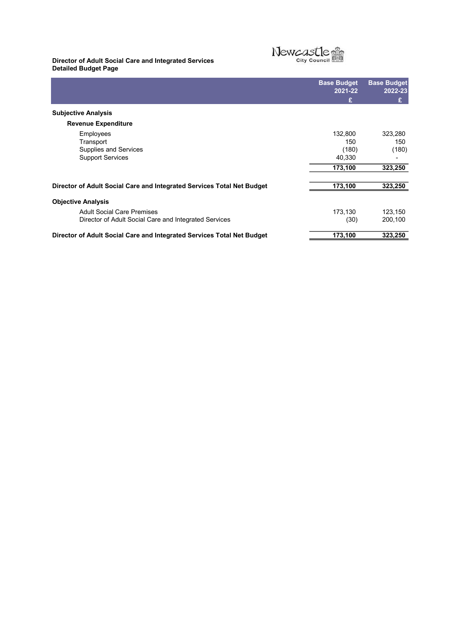#### Director of Adult Social Care and Integrated Services Detailed Budget Page L



|                                                                        | <b>Base Budget</b><br>2021-22 | <b>Base Budget</b><br>2022-23 |
|------------------------------------------------------------------------|-------------------------------|-------------------------------|
|                                                                        | £                             | £                             |
| <b>Subjective Analysis</b>                                             |                               |                               |
| <b>Revenue Expenditure</b>                                             |                               |                               |
| <b>Employees</b>                                                       | 132,800                       | 323,280                       |
| Transport                                                              | 150                           | 150                           |
| Supplies and Services                                                  | (180)                         | (180)                         |
| <b>Support Services</b>                                                | 40,330                        |                               |
|                                                                        | 173,100                       | 323,250                       |
| Director of Adult Social Care and Integrated Services Total Net Budget | 173,100                       | 323,250                       |
| <b>Objective Analysis</b>                                              |                               |                               |
| <b>Adult Social Care Premises</b>                                      | 173,130                       | 123,150                       |
| Director of Adult Social Care and Integrated Services                  | (30)                          | 200,100                       |
| Director of Adult Social Care and Integrated Services Total Net Budget | 173,100                       | 323,250                       |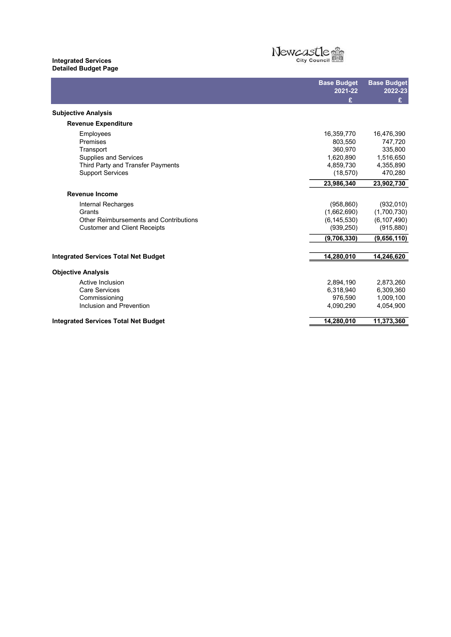### Integrated Services Detailed Budget Page

# Newcastle City Council

L Base Budget 2021-22 Base Budget 2022-23  $E = \sum_{i=1}^{n} E_i$ Subjective Analysis Revenue Expenditure Employees 16,359,770 16,476,390 Premises 2003,550 747,720 Transport 360,970 335,800 Supplies and Services 1,620,890 1,516,650 Third Party and Transfer Payments<br>
Support Services (18,570) 4,355,890<br>
470,280 470,280 Support Services (18,570) 23,986,340 23,902,730 Revenue Income Internal Recharges (958,860) (932,010) Grants (1,662,690) (1,700,730) Other Reimbursements and Contributions (6,145,530) (6,107,490)<br>Customer and Client Receipts (939,250) (915,880) Customer and Client Receipts (939,250) (9,706,330) (9,656,110) Integrated Services Total Net Budget 14,280,010 14,246,620 Objective Analysis Active Inclusion 2,894,190 2,873,260 Care Services 6,318,940 6,309,360<br>
Commissioning 1,009,100<br>
Commissioning 1,009,100 Commissioning 976,590 1,009,100 Inclusion and Prevention Integrated Services Total Net Budget 14,280,010 11,373,360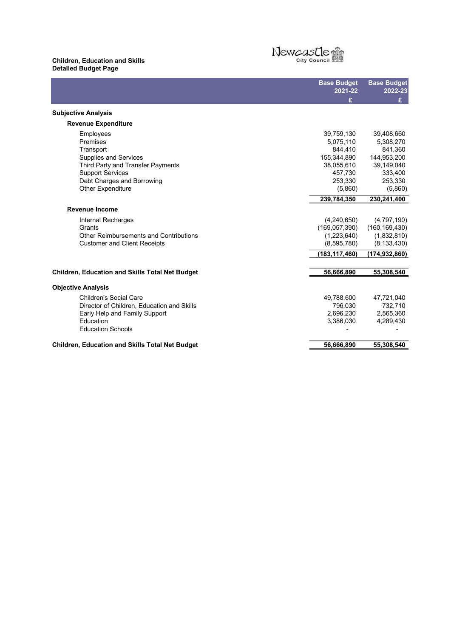### Children, Education and Skills Detailed Budget Page



L Base Budget 2021-22 Base Budget 2022-23  $E = \sum_{i=1}^{n} E_i$ Subjective Analysis Revenue Expenditure Employees 39,759,130 39,408,660 Premises 5,075,110 5,308,270 Transport 841,360 Transport 841,360 844,410 841,360 849,410 841,360 849,410 841,360 849,410 841,360 849,410 841,360 8 and Services Third Party and Transfer Payments 38,055,610 39,149,040<br>
Support Services 333,400<br>
333,400<br>
333,400 Support Services 333,400<br>Debt Charges and Borrowing the control of the control of the control of the control of the 253,330<br>253,330 253,330 Debt Charges and Borrowing Other Expenditure (5,860) (5,860) (5,860) 239,784,350 230,241,400 Revenue Income Internal Recharges (4,240,650) (4,797,190)<br>Grants (169,057,390) (160,169,430) Grants (169,057,390) (160,169,430)<br>Other Reimbursements and Contributions (1,223,640) (1,223,640) (1,832,810) Other Reimbursements and Contributions (1,223,640) (1,832,810)<br>Customer and Client Receipts (8,595,780) (8,133,430) Customer and Client Receipts (8,595,780) (183,117,460) (174,932,860) Children, Education and Skills Total Net Budget 56,666,890 55,308,540 Objective Analysis Children's Social Care 61 and Skills (2008) 2013 10:30 49,788,600 47,721,040<br>Director of Children, Education and Skills (2008) 296,030 732,710 Director of Children, Education and Skills Early Help and Family Support 2,696,230 2,696,230 2,665,360<br>Education 2.695,360 2,696,230 4.289.430 Education 4,289,430 **Education Schools** Children, Education and Skills Total Net Budget 56,666,890 55,308,540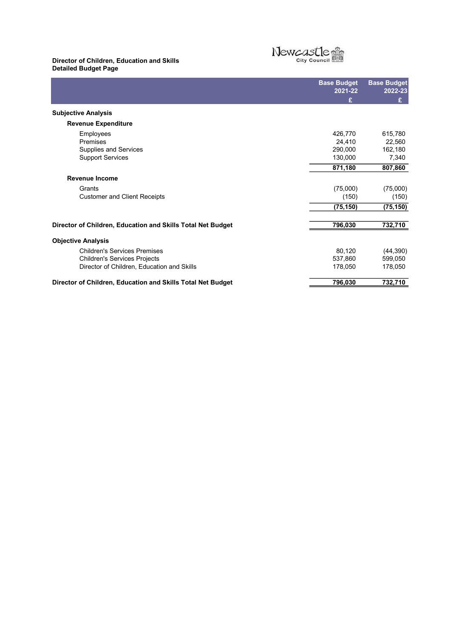#### Director of Children, Education and Skills Detailed Budget Page L



|                                                             | <b>Base Budget</b><br>2021-22 | <b>Base Budget</b><br>2022-23 |
|-------------------------------------------------------------|-------------------------------|-------------------------------|
|                                                             | £                             | £                             |
| <b>Subjective Analysis</b>                                  |                               |                               |
| <b>Revenue Expenditure</b>                                  |                               |                               |
| Employees                                                   | 426,770                       | 615,780                       |
| Premises                                                    | 24,410                        | 22,560                        |
| Supplies and Services                                       | 290,000                       | 162,180                       |
| <b>Support Services</b>                                     | 130,000                       | 7,340                         |
|                                                             | 871,180                       | 807,860                       |
| <b>Revenue Income</b>                                       |                               |                               |
| Grants                                                      | (75,000)                      | (75,000)                      |
| <b>Customer and Client Receipts</b>                         | (150)                         | (150)                         |
|                                                             | (75,150)                      | (75, 150)                     |
| Director of Children, Education and Skills Total Net Budget | 796,030                       | 732,710                       |
|                                                             |                               |                               |
| <b>Objective Analysis</b>                                   |                               |                               |
| <b>Children's Services Premises</b>                         | 80,120                        | (44, 390)                     |
| <b>Children's Services Projects</b>                         | 537,860                       | 599,050                       |
| Director of Children, Education and Skills                  | 178,050                       | 178,050                       |
| Director of Children, Education and Skills Total Net Budget | 796,030                       | 732,710                       |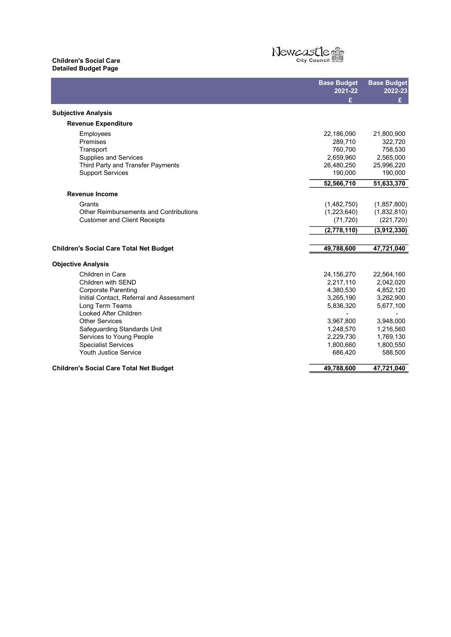# Children's Social Care Detailed Budget Page



|                                                | <b>Base Budget</b><br>2021-22 | <b>Base Budget</b><br>2022-23 |
|------------------------------------------------|-------------------------------|-------------------------------|
|                                                | £                             | £                             |
| <b>Subjective Analysis</b>                     |                               |                               |
| <b>Revenue Expenditure</b>                     |                               |                               |
| Employees                                      | 22,186,090                    | 21,800,900                    |
| Premises                                       | 289,710                       | 322,720                       |
| Transport                                      | 760,700                       | 758,530                       |
| <b>Supplies and Services</b>                   | 2,659,960                     | 2,565,000                     |
| Third Party and Transfer Payments              | 26,480,250                    | 25,996,220                    |
| <b>Support Services</b>                        | 190,000                       | 190,000                       |
|                                                | 52,566,710                    | 51,633,370                    |
| <b>Revenue Income</b>                          |                               |                               |
| Grants                                         | (1,482,750)                   | (1, 857, 800)                 |
| <b>Other Reimbursements and Contributions</b>  | (1,223,640)                   | (1,832,810)                   |
| <b>Customer and Client Receipts</b>            | (71, 720)                     | (221, 720)                    |
|                                                | (2,778,110)                   | (3,912,330)                   |
|                                                |                               |                               |
| <b>Children's Social Care Total Net Budget</b> | 49,788,600                    | 47,721,040                    |
| <b>Objective Analysis</b>                      |                               |                               |
| Children in Care                               | 24,156,270                    | 22,564,160                    |
| Children with SEND                             | 2,217,110                     | 2,042,020                     |
| <b>Corporate Parenting</b>                     | 4,380,530                     | 4,852,120                     |
| Initial Contact, Referral and Assessment       | 3,265,190                     | 3,262,900                     |
| Long Term Teams                                | 5,836,320                     | 5,677,100                     |
| Looked After Children                          |                               |                               |
| <b>Other Services</b>                          | 3,967,800                     | 3,948,000                     |
| Safeguarding Standards Unit                    | 1,248,570                     | 1,216,560                     |
| Services to Young People                       | 2,229,730                     | 1,769,130                     |
| <b>Specialist Services</b>                     | 1,800,660                     | 1,800,550                     |
| <b>Youth Justice Service</b>                   | 686,420                       | 588,500                       |
| <b>Children's Social Care Total Net Budget</b> | 49,788,600                    | 47,721,040                    |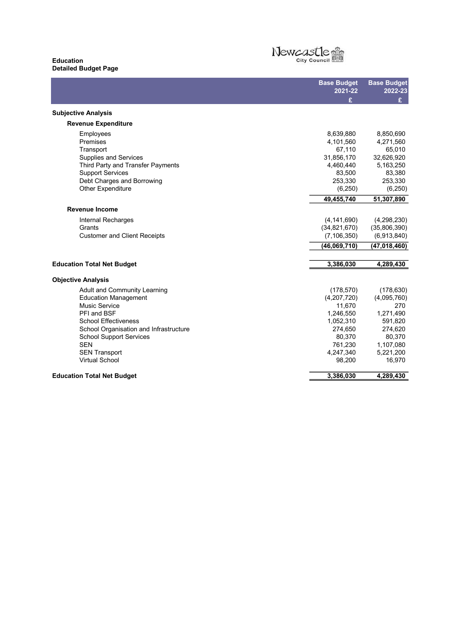#### Education Detailed Budget Page L

# Newcastle **City Council**

Base Budget 2021-22 Base Budget 2022-23  $E = \sum_{i=1}^{n} E_i$ Subjective Analysis Revenue Expenditure Employees 8,639,880 8,850,690 Premises 4,101,560 4,271,560 Transport 65,010 Transport 65,010 65,010<br>Supplies and Services 31,856,170 32,626,920 Third Party and Transfer Payments 6.163,250 4,460,440 5,163,250 5,163,250 5,163,250 4,460,440 5,163,250 5,163,250 5,163,380 5,163,380 5,163,380 6.17 cm and the set of the set of the set of the set of the set of the set of Support Services 83,380 83,380<br>Debt Charges and Borrowing the state of the state and state and state and state and state and state and state a<br>253,330 253,330 Debt Charges and Borrowing Other Expenditure (6,250) (6,250) (6,250) 49,455,740 51,307,890 Revenue Income Internal Recharges (4,141,690) (4,298,230)<br>Grants (34,821,670) (35,806,390) Grants (34,821,670) (35,806,390)<br>Customer and Client Receipts (7,106,350) (6,913,840) Customer and Client Receipts (46,069,710) (47,018,460) Education Total Net Budget 3,386,030 4,289,430 Objective Analysis Adult and Community Learning (178,630) (178,630)<br>Education Management (4,005,760) (4,005,760) Education Management (4,207,720) (4,095,760)<br>Music Service 11.670 270 Music Service 11,670<br>PFI and BSF 1,246,550 PFI and BSF 1,271,490 PFI and BSF 1,271,490<br>
School Effectiveness 1,271,490<br>
School Organisation and Infrastructure 1990 1991,820<br>
School Organisation and Infrastructure 1990 1991,820<br>
274,620<br>
274,620 School Organisation and Infrastructure 274,650 274,620<br>
274,620 274,620 274,620<br>
280,370 20,370 School Support Services 80,370 80,370 80,370 80,370 80,370 80,370 80,370 80,370 80,370 80,370 80,370 80,370 80 SEN 761,230 1,107,080 SEN 1,107,080<br>SEN Transport 1,107,080<br>4,247,340 5,221,200 Virtual School 98,200 16,970 Education Total Net Budget 3,386,030 4,289,430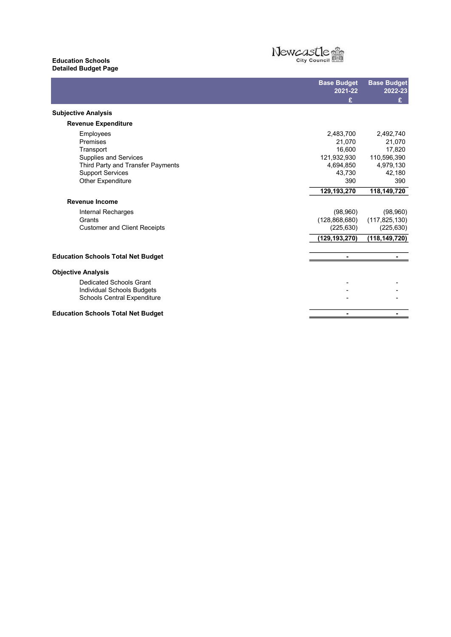#### Education Schools Detailed Budget Page L

# Newcastle **City Council**

Base Budget 2021-22 Base Budget 2022-23  $E = \sum_{i=1}^{n} E_i$ Subjective Analysis Revenue Expenditure Employees 2,483,700 2,492,740 Premises 21,070 21,070 Transport 17,820 Transport 17,820<br>
Supplies and Services 121,932,930 110,596,390<br>
Third Party and Transfer Payments 121,932,930 121,932,930 110,596,390<br>
4,694,850 4,979,130 Third Party and Transfer Payments<br>
Support Services 4,979,130<br>
42,180<br>
42,180<br>
42,180 Support Services 43,730 42,180<br>Other Expenditure 390 390 Other Expenditure 129,193,270 118,149,720 Revenue Income Internal Recharges (98,960) (98,960)  $(128,868,680)$ Customer and Client Receipts (225,630) (225,630) (225,630) (129,193,270) (118,149,720) Education Schools Total Net Budget - - Objective Analysis Dedicated Schools Grant Individual Schools Budgets - - Schools Central Expenditure - - Education Schools Total Net Budget - -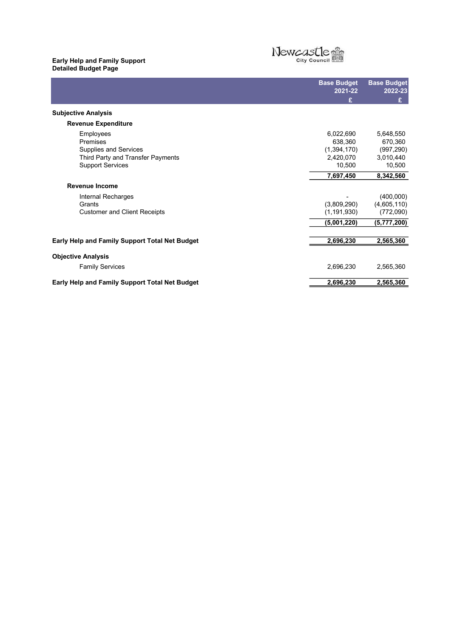#### Early Help and Family Support Detailed Budget Page



|                                                                                       | <b>Base Budget</b><br>2021-22      | <b>Base Budget</b><br>2022-23         |
|---------------------------------------------------------------------------------------|------------------------------------|---------------------------------------|
|                                                                                       | £                                  | £                                     |
| <b>Subjective Analysis</b>                                                            |                                    |                                       |
| <b>Revenue Expenditure</b>                                                            |                                    |                                       |
| Employees<br>Premises                                                                 | 6,022,690<br>638,360               | 5,648,550<br>670,360                  |
| Supplies and Services<br>Third Party and Transfer Payments<br><b>Support Services</b> | (1,394,170)<br>2,420,070<br>10,500 | (997, 290)<br>3,010,440<br>10,500     |
|                                                                                       | 7,697,450                          | 8,342,560                             |
| <b>Revenue Income</b>                                                                 |                                    |                                       |
| Internal Recharges<br>Grants<br><b>Customer and Client Receipts</b>                   | (3,809,290)<br>(1, 191, 930)       | (400,000)<br>(4,605,110)<br>(772,090) |
|                                                                                       | (5,001,220)                        | (5,777,200)                           |
| <b>Early Help and Family Support Total Net Budget</b>                                 | 2,696,230                          | 2,565,360                             |
| <b>Objective Analysis</b>                                                             |                                    |                                       |
| <b>Family Services</b>                                                                | 2,696,230                          | 2,565,360                             |
| <b>Early Help and Family Support Total Net Budget</b>                                 | 2,696,230                          | 2,565,360                             |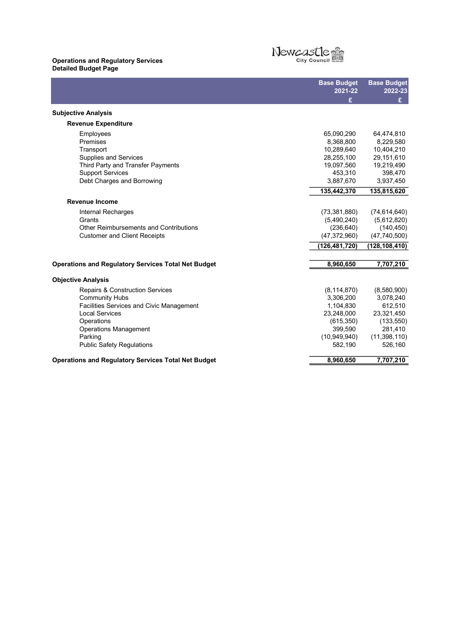#### Operations and Regulatory Services Detailed Budget Page

L

# Newcastle

|                                                            | <b>Base Budget</b><br>2021-22 | <b>Base Budget</b><br>2022-23 |
|------------------------------------------------------------|-------------------------------|-------------------------------|
|                                                            | £                             | £                             |
| <b>Subjective Analysis</b>                                 |                               |                               |
| <b>Revenue Expenditure</b>                                 |                               |                               |
| Employees                                                  | 65,090,290                    | 64,474,810                    |
| Premises                                                   | 8,368,800                     | 8,229,580                     |
| Transport                                                  | 10,289,640                    | 10,404,210                    |
| <b>Supplies and Services</b>                               | 28,255,100                    | 29,151,610                    |
| Third Party and Transfer Payments                          | 19,097,560                    | 19,219,490                    |
| <b>Support Services</b>                                    | 453,310                       | 398,470                       |
| Debt Charges and Borrowing                                 | 3,887,670                     | 3,937,450                     |
|                                                            | 135,442,370                   | 135,815,620                   |
| <b>Revenue Income</b>                                      |                               |                               |
| Internal Recharges                                         | (73, 381, 880)                | (74, 614, 640)                |
| Grants                                                     | (5,490,240)                   | (5,612,820)                   |
| <b>Other Reimbursements and Contributions</b>              | (236, 640)                    | (140, 450)                    |
| <b>Customer and Client Receipts</b>                        | (47, 372, 960)                | (47, 740, 500)                |
|                                                            | (126,481,720)                 | (128,108,410)                 |
|                                                            |                               |                               |
| <b>Operations and Regulatory Services Total Net Budget</b> | 8,960,650                     | 7,707,210                     |
| <b>Objective Analysis</b>                                  |                               |                               |
| <b>Repairs &amp; Construction Services</b>                 | (8, 114, 870)                 | (8,580,900)                   |
| <b>Community Hubs</b>                                      | 3,306,200                     | 3,078,240                     |
| Facilities Services and Civic Management                   | 1,104,830                     | 612,510                       |
| <b>Local Services</b>                                      | 23,248,000                    | 23,321,450                    |
| Operations                                                 | (615, 350)                    | (133, 550)                    |
| <b>Operations Management</b>                               | 399,590                       | 281,410                       |
| Parking                                                    | (10,949,940)                  | (11, 398, 110)                |
| <b>Public Safety Regulations</b>                           | 582,190                       | 526,160                       |
| <b>Operations and Regulatory Services Total Net Budget</b> | 8,960,650                     | 7.707.210                     |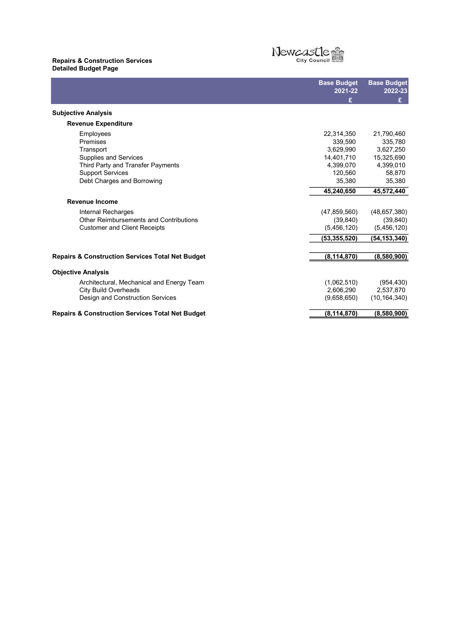#### Repairs & Construction Services Detailed Budget Page



|                                                             | <b>Base Budget</b> | <b>Base Budget</b> |
|-------------------------------------------------------------|--------------------|--------------------|
|                                                             | 2021-22            | 2022-23            |
|                                                             | £                  | £                  |
| <b>Subjective Analysis</b>                                  |                    |                    |
| <b>Revenue Expenditure</b>                                  |                    |                    |
| Employees                                                   | 22,314,350         | 21,790,460         |
| Premises                                                    | 339,590            | 335,780            |
| Transport                                                   | 3,629,990          | 3,627,250          |
| <b>Supplies and Services</b>                                | 14,401,710         | 15,325,690         |
| Third Party and Transfer Payments                           | 4,399,070          | 4,399,010          |
| <b>Support Services</b>                                     | 120.560            | 58,870             |
| Debt Charges and Borrowing                                  | 35,380             | 35,380             |
|                                                             | 45,240,650         | 45,572,440         |
| <b>Revenue Income</b>                                       |                    |                    |
| Internal Recharges                                          | (47, 859, 560)     | (48, 657, 380)     |
| Other Reimbursements and Contributions                      | (39, 840)          | (39, 840)          |
| <b>Customer and Client Receipts</b>                         | (5,456,120)        | (5,456,120)        |
|                                                             | (53,355,520)       | (54, 153, 340)     |
| <b>Repairs &amp; Construction Services Total Net Budget</b> | (8, 114, 870)      | (8,580,900)        |
|                                                             |                    |                    |
| <b>Objective Analysis</b>                                   |                    |                    |
| Architectural, Mechanical and Energy Team                   | (1,062,510)        | (954, 430)         |
| <b>City Build Overheads</b>                                 | 2,606,290          | 2,537,870          |
| Design and Construction Services                            | (9,658,650)        | (10, 164, 340)     |
| <b>Repairs &amp; Construction Services Total Net Budget</b> | (8, 114, 870)      | (8,580,900)        |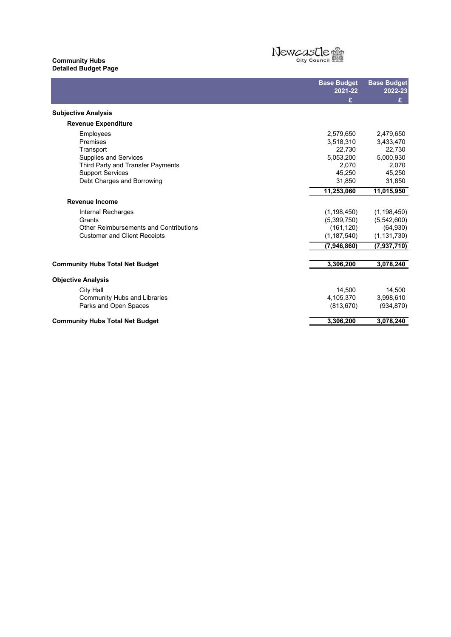#### Community Hubs Detailed Budget Page L

 $\overline{\phantom{a}}$ 

# Newcastle Ú

|                                               | <b>Base Budget</b><br>2021-22 | <b>Base Budget</b><br>2022-23 |
|-----------------------------------------------|-------------------------------|-------------------------------|
|                                               | £                             | £                             |
| <b>Subjective Analysis</b>                    |                               |                               |
| <b>Revenue Expenditure</b>                    |                               |                               |
| Employees                                     | 2,579,650                     | 2,479,650                     |
| Premises                                      | 3,518,310                     | 3,433,470                     |
| Transport                                     | 22.730                        | 22,730                        |
| Supplies and Services                         | 5,053,200                     | 5,000,930                     |
| Third Party and Transfer Payments             | 2,070                         | 2,070                         |
| <b>Support Services</b>                       | 45.250                        | 45,250                        |
| Debt Charges and Borrowing                    | 31,850                        | 31,850                        |
|                                               | 11,253,060                    | 11,015,950                    |
| <b>Revenue Income</b>                         |                               |                               |
| Internal Recharges                            | (1, 198, 450)                 | (1, 198, 450)                 |
| Grants                                        | (5,399,750)                   | (5,542,600)                   |
| <b>Other Reimbursements and Contributions</b> | (161, 120)                    | (64, 930)                     |
| <b>Customer and Client Receipts</b>           | (1, 187, 540)                 | (1, 131, 730)                 |
|                                               | (7,946,860)                   | (7,937,710)                   |
|                                               |                               |                               |
| <b>Community Hubs Total Net Budget</b>        | 3,306,200                     | 3,078,240                     |
| <b>Objective Analysis</b>                     |                               |                               |
| <b>City Hall</b>                              | 14,500                        | 14,500                        |
| <b>Community Hubs and Libraries</b>           | 4,105,370                     | 3,998,610                     |
| Parks and Open Spaces                         | (813, 670)                    | (934, 870)                    |
| <b>Community Hubs Total Net Budget</b>        | 3,306,200                     | 3,078,240                     |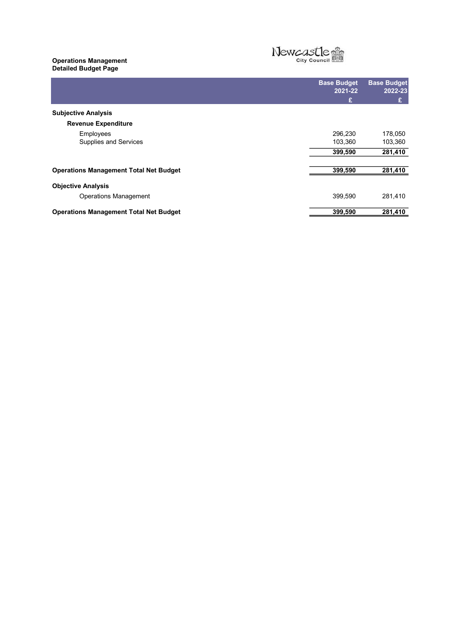#### Operations Management Detailed Budget Page

L

# Newcastle

|                                               | <b>Base Budget</b><br>2021-22 | <b>Base Budget</b><br>2022-23 |
|-----------------------------------------------|-------------------------------|-------------------------------|
|                                               | £                             | £                             |
| <b>Subjective Analysis</b>                    |                               |                               |
| <b>Revenue Expenditure</b>                    |                               |                               |
| Employees                                     | 296,230                       | 178,050                       |
| <b>Supplies and Services</b>                  | 103.360                       | 103,360                       |
|                                               | 399,590                       | 281,410                       |
| <b>Operations Management Total Net Budget</b> | 399,590                       | 281,410                       |
| <b>Objective Analysis</b>                     |                               |                               |
| <b>Operations Management</b>                  | 399.590                       | 281,410                       |
| <b>Operations Management Total Net Budget</b> | 399,590                       | 281,410                       |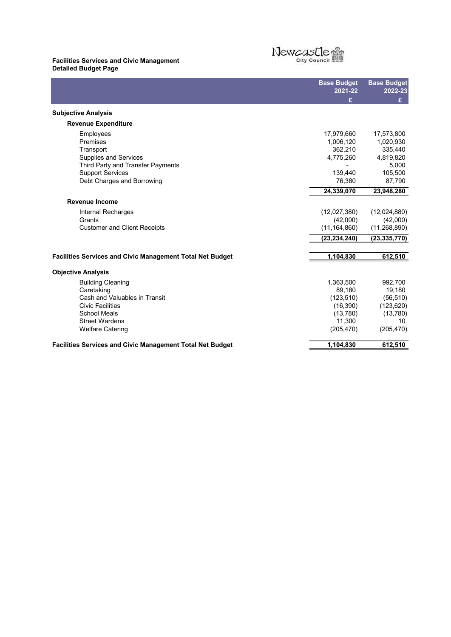#### Facilities Services and Civic Management Detailed Budget Page L



Base Budget 2021-22 Base Budget 2022-23  $E = \sum_{i=1}^{n} E_i$ Subjective Analysis Revenue Expenditure Employees 17,979,660 17,573,800 Premises 1,006,120 1,020,930 Transport 362,210 335,440 Supplies and Services 4,775,260 4,819,820 Third Party and Transfer Payments 6,000 and the state of the Support Services 5,000 and 5,000 5.500 and 5,000  $\sim$  5,000 5.500 5.500 and 5,500 5.500 for the Support Services 5.000 for the Support Services 5.000 for the Sup Support Services 105,500<br>Debt Charges and Borrowing the contract of the contract of the contract of the contract of the contract of the<br>T6,380 17,790 Debt Charges and Borrowing 24,339,070 23,948,280 Revenue Income Internal Recharges (12,027,380) (12,024,880) Grants (42,000) (42,000) (42,000) Customer and Client Receipts (11,164,860) (11,268,890) (23,234,240) (23,335,770) Facilities Services and Civic Management Total Net Budget 1,104,830 612,510 Objective Analysis Building Cleaning 1,363,500 992,700 Caretaking 89,180 19,180 Caretaking 89,180 19,180<br>
Cash and Valuables in Transit (123,510) (56,510) (56,510)<br>
Civic Facilities (123,620) (123,620) **Civic Facilities** School Meals (13,780) (13,780) (13,780) School Meals (13,780) (13,780) (13,780) (13,780) (13,780)<br>Street Wardens (19,1780) (205,470) (205,470) (205,470) (205,470) **Welfare Catering** 

Facilities Services and Civic Management Total Net Budget 1,104,830 612,510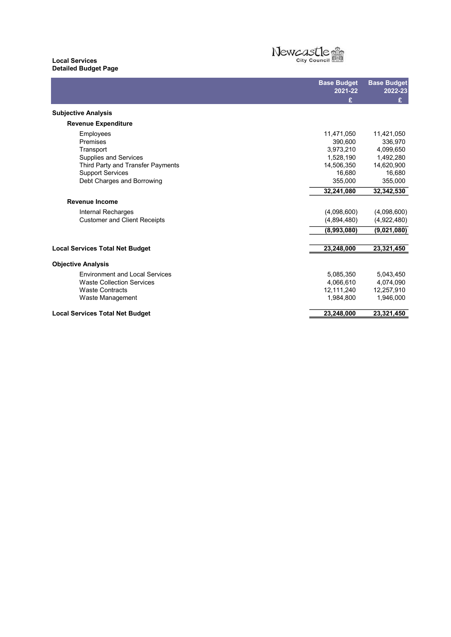# Local Services Detailed Budget Page



|                                        | <b>Base Budget</b> | <b>Base Budget</b> |
|----------------------------------------|--------------------|--------------------|
|                                        | 2021-22            | 2022-23            |
|                                        | £                  | £                  |
| <b>Subjective Analysis</b>             |                    |                    |
| <b>Revenue Expenditure</b>             |                    |                    |
| Employees                              | 11,471,050         | 11,421,050         |
| Premises                               | 390,600            | 336,970            |
| Transport                              | 3,973,210          | 4,099,650          |
| Supplies and Services                  | 1,528,190          | 1,492,280          |
| Third Party and Transfer Payments      | 14,506,350         | 14,620,900         |
| <b>Support Services</b>                | 16,680             | 16,680             |
| Debt Charges and Borrowing             | 355,000            | 355,000            |
|                                        | 32,241,080         | 32,342,530         |
| <b>Revenue Income</b>                  |                    |                    |
| Internal Recharges                     | (4.098,600)        | (4,098,600)        |
| <b>Customer and Client Receipts</b>    | (4,894,480)        | (4,922,480)        |
|                                        | (8,993,080)        | (9,021,080)        |
| <b>Local Services Total Net Budget</b> | 23,248,000         | 23,321,450         |
|                                        |                    |                    |
| <b>Objective Analysis</b>              |                    |                    |
| <b>Environment and Local Services</b>  | 5.085.350          | 5.043.450          |
| <b>Waste Collection Services</b>       | 4,066,610          | 4,074,090          |
| <b>Waste Contracts</b>                 | 12,111,240         | 12,257,910         |
| Waste Management                       | 1,984,800          | 1,946,000          |
| <b>Local Services Total Net Budget</b> | 23,248,000         | 23,321,450         |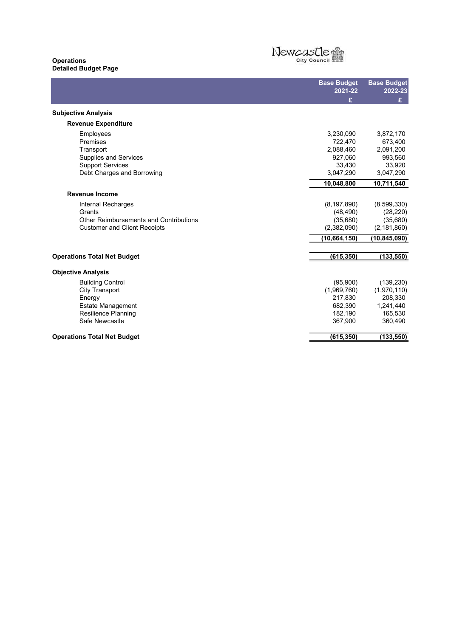### **Operations** Detailed Budget Page

# Newcastle

|                                        | <b>Base Budget</b><br>2021-22 | <b>Base Budget</b><br>2022-23 |
|----------------------------------------|-------------------------------|-------------------------------|
|                                        | £                             | £                             |
| <b>Subjective Analysis</b>             |                               |                               |
| <b>Revenue Expenditure</b>             |                               |                               |
| Employees                              | 3,230,090                     | 3,872,170                     |
| Premises                               | 722,470                       | 673,400                       |
| Transport                              | 2,088,460                     | 2,091,200                     |
| <b>Supplies and Services</b>           | 927,060                       | 993,560                       |
| <b>Support Services</b>                | 33,430                        | 33,920                        |
| Debt Charges and Borrowing             | 3,047,290                     | 3,047,290                     |
|                                        | 10,048,800                    | 10,711,540                    |
| <b>Revenue Income</b>                  |                               |                               |
| Internal Recharges                     | (8, 197, 890)                 | (8,599,330)                   |
| Grants                                 | (48, 490)                     | (28, 220)                     |
| Other Reimbursements and Contributions | (35,680)                      | (35,680)                      |
| <b>Customer and Client Receipts</b>    | (2,382,090)                   | (2, 181, 860)                 |
|                                        | (10, 664, 150)                | (10, 845, 090)                |
| <b>Operations Total Net Budget</b>     | (615, 350)                    | (133, 550)                    |
| <b>Objective Analysis</b>              |                               |                               |
| <b>Building Control</b>                | (95,900)                      | (139, 230)                    |
| <b>City Transport</b>                  | (1,969,760)                   | (1,970,110)                   |
| Energy                                 | 217,830                       | 208,330                       |
| <b>Estate Management</b>               | 682,390                       | 1,241,440                     |
| <b>Resilience Planning</b>             | 182,190                       | 165,530                       |
| Safe Newcastle                         | 367,900                       | 360,490                       |
| <b>Operations Total Net Budget</b>     | (615, 350)                    | (133, 550)                    |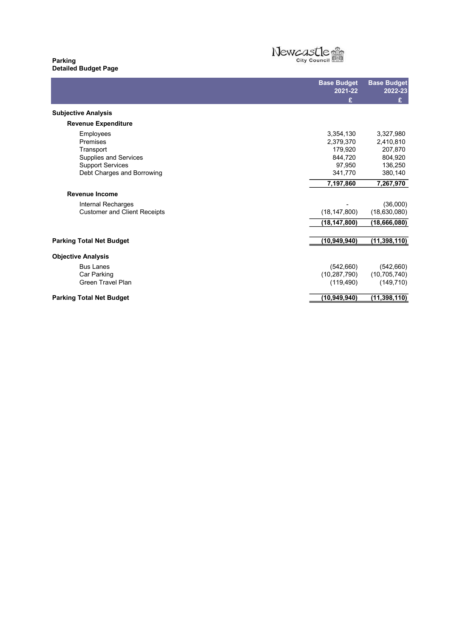## Parking Detailed Budget Page

# Newcastle

|                                     | <b>Base Budget</b><br>2021-22 | <b>Base Budget</b><br>2022-23 |
|-------------------------------------|-------------------------------|-------------------------------|
|                                     | £                             | £                             |
| <b>Subjective Analysis</b>          |                               |                               |
| <b>Revenue Expenditure</b>          |                               |                               |
| Employees                           | 3,354,130                     | 3,327,980                     |
| Premises                            | 2,379,370                     | 2,410,810                     |
| Transport                           | 179,920                       | 207,870                       |
| Supplies and Services               | 844,720                       | 804,920                       |
| <b>Support Services</b>             | 97.950                        | 136,250                       |
| Debt Charges and Borrowing          | 341,770                       | 380,140                       |
|                                     | 7,197,860                     | 7,267,970                     |
| <b>Revenue Income</b>               |                               |                               |
| Internal Recharges                  |                               | (36,000)                      |
| <b>Customer and Client Receipts</b> | (18, 147, 800)                | (18,630,080)                  |
|                                     | (18, 147, 800)                | (18, 666, 080)                |
| <b>Parking Total Net Budget</b>     | (10, 949, 940)                | (11, 398, 110)                |
| <b>Objective Analysis</b>           |                               |                               |
| <b>Bus Lanes</b>                    | (542,660)                     | (542,660)                     |
| Car Parking                         | (10, 287, 790)                | (10, 705, 740)                |
| <b>Green Travel Plan</b>            | (119, 490)                    | (149, 710)                    |
| <b>Parking Total Net Budget</b>     | (10, 949, 940)                | (11, 398, 110)                |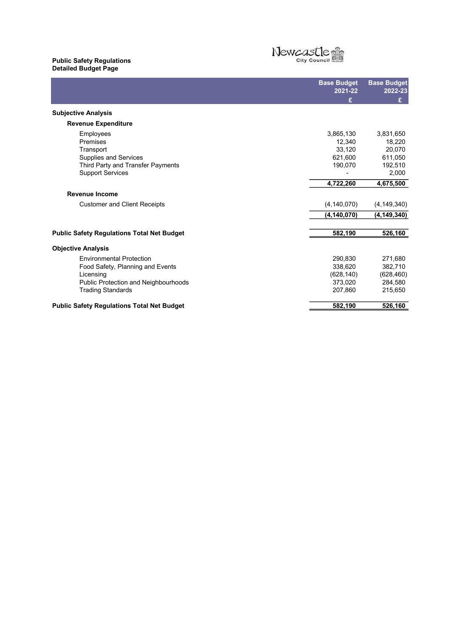## Public Safety Regulations Detailed Budget Page



L Base Budget 2021-22 Base Budget 2022-23  $E = \sum_{i=1}^{n} E_i$ Subjective Analysis Revenue Expenditure Employees 3,865,130 3,831,650 Premises 12,340 18,220 Transport 20,070 Transport 33,120 20,070<br>Supplies and Services 621,600 611,050 Third Party and Transfer Payments<br>
Support Services 190,070 192,510<br>
2,000 2,000 Support Services - 2,000 per contract to the contract of the contract of the contract of the contract of the contract of the contract of the contract of the contract of the contract of the contract of the contract of the c 4,722,260 4,675,500 Revenue Income Customer and Client Receipts (4,140,070) (4,149,340) (4,140,070) (4,149,340) Public Safety Regulations Total Net Budget 582,190 526,160 Objective Analysis Environmental Protection 290,830 271,680 Food Safety, Planning and Events 338,620 382,710 Licensing (628,140) (628,460) Public Protection and Neighbourhoods 373,020 284,580 Trading Standards 207,860 Public Safety Regulations Total Net Budget 582,190 526,160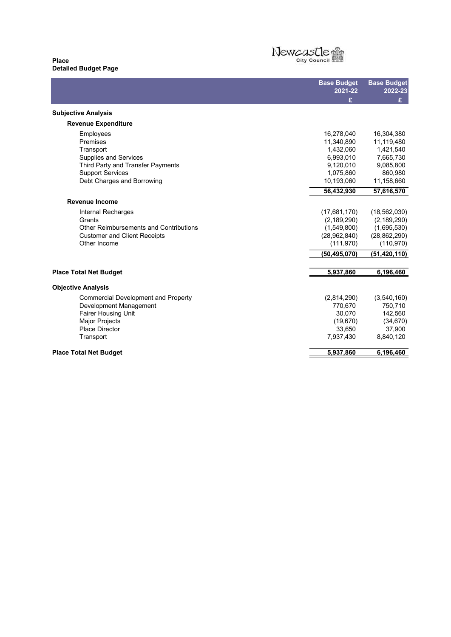## Place Detailed Budget Page



L Base Budget 2021-22 Base Budget 2022-23  $E = \sum_{i=1}^{n} E_i$ Subjective Analysis Revenue Expenditure Employees 16,278,040 16,304,380 Premises 11,340,890 11,119,480 Transport 1,432,060 1,421,540 Transport 1,421,540<br>
Supplies and Services 6,993,010 7,665,730 Third Party and Transfer Payments 6.120,010 9,120,010 9,085,800<br>
9,120,010 9,085,800 9,080,980 9,090 Support Services 1,075,860 860,980 Debt Charges and Borrowing 56,432,930 57,616,570 Revenue Income Internal Recharges (17,681,170) (18,562,030)<br>Grants (2,189,290) (18,562,030) (2,189,290) Grants (2,189,290) (2,189,290) (2,189,290) Grants (2,189,290) (2,189,290) (2,189,290) (2,189,290) (2,189,290) (2,189,290) (2,189,290) (2,189,290) (2,189,290)<br>Other Reimbursements and Contributions (1,549,800) (1,549,800) (1,695,530) (28,862,290) (28,862,290) Customer and Client Receipts (28,962,840) (28,862,290)<br>Other Income (111,970) (110,970) Other Income (111,970) (50,495,070) (51,420,110) Place Total Net Budget 6,196,460 Objective Analysis Commercial Development and Property<br>
Development Management<br>
270.670 750,710 770,670 Development Management Fairer Housing Unit 142,560 and 142,560 and 142,560 and 142,560 and 142,560 and 142,560 and 142,560 and 150 and 150 and 160 and 160 and 160 and 160 and 160 and 160 and 160 and 160 and 160 and 160 and 160 and 160 and 160 an Major Projects (19,670) (34,670) Place Director 33,650 37,900<br>Transport 33,650 37,900<br>7,937,430 8,840,120 Transport 8,840,120 Place Total Net Budget 6,196,460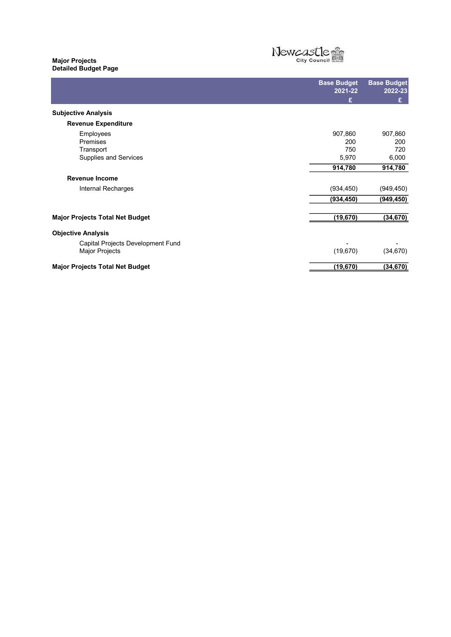#### Major Projects Detailed Budget Page L



|                                        | <b>Base Budget</b><br>2021-22 | <b>Base Budget</b><br>2022-23 |
|----------------------------------------|-------------------------------|-------------------------------|
|                                        | £                             | £                             |
| <b>Subjective Analysis</b>             |                               |                               |
| <b>Revenue Expenditure</b>             |                               |                               |
| Employees                              | 907,860                       | 907,860                       |
| Premises                               | 200                           | 200                           |
| Transport                              | 750                           | 720                           |
| Supplies and Services                  | 5,970                         | 6,000                         |
|                                        | 914,780                       | 914,780                       |
| <b>Revenue Income</b>                  |                               |                               |
| Internal Recharges                     | (934, 450)                    | (949, 450)                    |
|                                        | (934,450)                     | (949,450)                     |
| <b>Major Projects Total Net Budget</b> | (19, 670)                     | (34,670)                      |
| <b>Objective Analysis</b>              |                               |                               |
| Capital Projects Development Fund      |                               |                               |
| Major Projects                         | (19, 670)                     | (34, 670)                     |
| <b>Major Projects Total Net Budget</b> | (19, 670)                     | (34, 670)                     |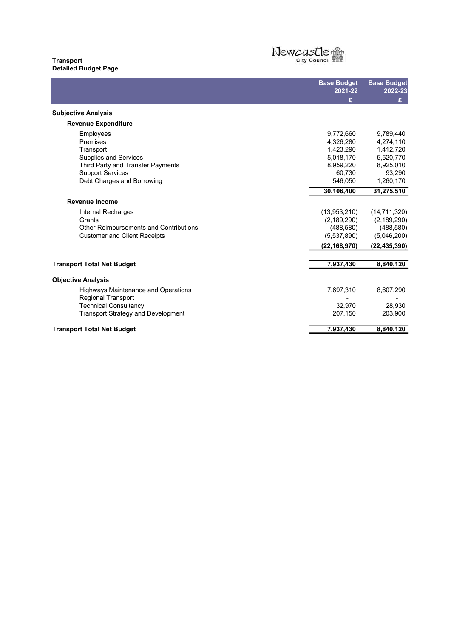## Transport Detailed Budget Page

# Newcastle

|                                            | <b>Base Budget</b><br>2021-22 | <b>Base Budget</b><br>2022-23 |
|--------------------------------------------|-------------------------------|-------------------------------|
|                                            | £                             | £                             |
| <b>Subjective Analysis</b>                 |                               |                               |
| <b>Revenue Expenditure</b>                 |                               |                               |
| Employees                                  | 9,772,660                     | 9,789,440                     |
| Premises                                   | 4,326,280                     | 4,274,110                     |
| Transport                                  | 1,423,290                     | 1,412,720                     |
| <b>Supplies and Services</b>               | 5,018,170                     | 5,520,770                     |
| Third Party and Transfer Payments          | 8,959,220                     | 8,925,010                     |
| <b>Support Services</b>                    | 60.730                        | 93,290                        |
| Debt Charges and Borrowing                 | 546,050                       | 1,260,170                     |
|                                            | 30,106,400                    | 31,275,510                    |
| <b>Revenue Income</b>                      |                               |                               |
| Internal Recharges                         | (13,953,210)                  | (14, 711, 320)                |
| Grants                                     | (2, 189, 290)                 | (2, 189, 290)                 |
| Other Reimbursements and Contributions     | (488, 580)                    | (488,580)                     |
| <b>Customer and Client Receipts</b>        | (5,537,890)                   | (5,046,200)                   |
|                                            | (22, 168, 970)                | (22, 435, 390)                |
|                                            |                               |                               |
| <b>Transport Total Net Budget</b>          | 7,937,430                     | 8,840,120                     |
| <b>Objective Analysis</b>                  |                               |                               |
| <b>Highways Maintenance and Operations</b> | 7,697,310                     | 8,607,290                     |
| <b>Regional Transport</b>                  |                               |                               |
| <b>Technical Consultancy</b>               | 32,970                        | 28,930                        |
| <b>Transport Strategy and Development</b>  | 207,150                       | 203,900                       |
| <b>Transport Total Net Budget</b>          | 7,937,430                     | 8,840,120                     |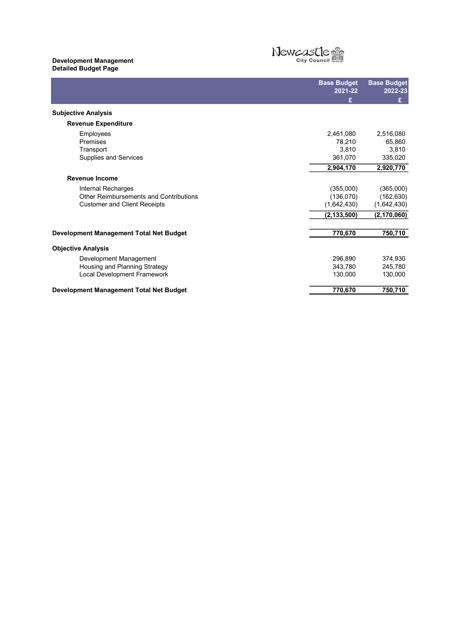### Development Management Detailed Budget Page



L Base Budget 2021-22 Base Budget 2022-23  $E = \sum_{i=1}^{n} E_i$ Subjective Analysis Revenue Expenditure Employees 2,461,080 2,516,080 Premises 65,860 Transport 3,810 3,810 Transport 3,810 3,810 3,810 3,810<br>Supplies and Services 361,070 335,020 2,904,170 2,920,770 Revenue Income Internal Recharges (355,000) (365,000) Other Reimbursements and Contributions (136,070) (162,630)<br>Customer and Client Receipts (1,642,430) (1,642,430) (1,642,430) Customer and Client Receipts (2,133,500) (2,170,060) Development Management Total Net Budget 770,670 750,710 Objective Analysis Development Management 296,890 374,930 Housing and Planning Strategy 130,000 245,780 245,780 245,780 245,780 245,780 245,780 245,780 245,780 245,780 <br>Local Development Framework Local Development Framework Development Management Total Net Budget 770,670 750,710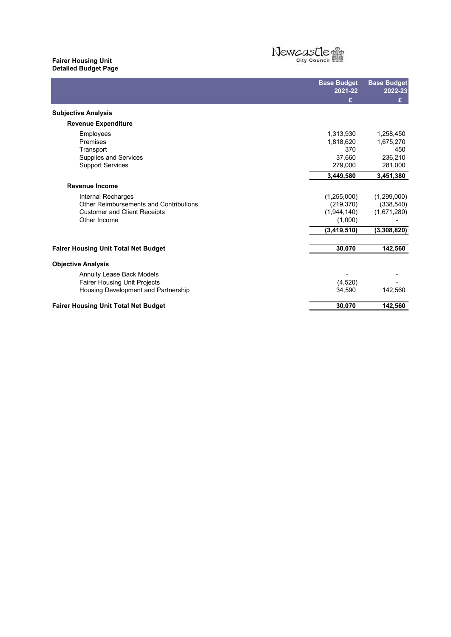### Fairer Housing Unit Detailed Budget Page



|                                             | <b>Base Budget</b><br>2021-22 | <b>Base Budget</b><br>2022-23 |
|---------------------------------------------|-------------------------------|-------------------------------|
|                                             | £                             | £                             |
|                                             |                               |                               |
| <b>Subjective Analysis</b>                  |                               |                               |
| <b>Revenue Expenditure</b>                  |                               |                               |
| Employees                                   | 1,313,930                     | 1,258,450                     |
| Premises                                    | 1,818,620                     | 1,675,270                     |
| Transport                                   | 370                           | 450                           |
| Supplies and Services                       | 37,660                        | 236,210                       |
| <b>Support Services</b>                     | 279,000                       | 281,000                       |
|                                             | 3,449,580                     | 3,451,380                     |
| <b>Revenue Income</b>                       |                               |                               |
| Internal Recharges                          | (1,255,000)                   | (1,299,000)                   |
| Other Reimbursements and Contributions      | (219, 370)                    | (338, 540)                    |
| <b>Customer and Client Receipts</b>         | (1,944,140)                   | (1,671,280)                   |
| Other Income                                | (1,000)                       |                               |
|                                             | (3, 419, 510)                 | (3,308,820)                   |
|                                             |                               |                               |
| <b>Fairer Housing Unit Total Net Budget</b> | 30,070                        | 142,560                       |
| <b>Objective Analysis</b>                   |                               |                               |
| <b>Annuity Lease Back Models</b>            |                               |                               |
| <b>Fairer Housing Unit Projects</b>         | (4,520)                       |                               |
| Housing Development and Partnership         | 34,590                        | 142,560                       |
| <b>Fairer Housing Unit Total Net Budget</b> | 30,070                        | 142,560                       |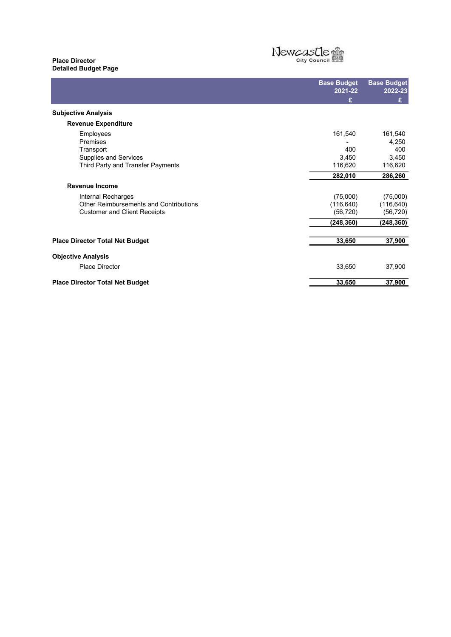# Place Director Detailed Budget Page

# Newcastle ĥ

|                                        | <b>Base Budget</b><br>2021-22 | <b>Base Budget</b><br>2022-23 |
|----------------------------------------|-------------------------------|-------------------------------|
|                                        | £                             | £                             |
| <b>Subjective Analysis</b>             |                               |                               |
| <b>Revenue Expenditure</b>             |                               |                               |
| Employees                              | 161,540                       | 161,540                       |
| Premises                               |                               | 4,250                         |
| Transport                              | 400                           | 400                           |
| Supplies and Services                  | 3,450                         | 3,450                         |
| Third Party and Transfer Payments      | 116,620                       | 116,620                       |
|                                        | 282,010                       | 286,260                       |
| <b>Revenue Income</b>                  |                               |                               |
| Internal Recharges                     | (75,000)                      | (75,000)                      |
| Other Reimbursements and Contributions | (116, 640)                    | (116, 640)                    |
| <b>Customer and Client Receipts</b>    | (56, 720)                     | (56, 720)                     |
|                                        | (248, 360)                    | (248,360)                     |
| <b>Place Director Total Net Budget</b> | 33,650                        | 37,900                        |
|                                        |                               |                               |
| <b>Objective Analysis</b>              |                               |                               |
| <b>Place Director</b>                  | 33,650                        | 37,900                        |
| <b>Place Director Total Net Budget</b> | 33,650                        | 37,900                        |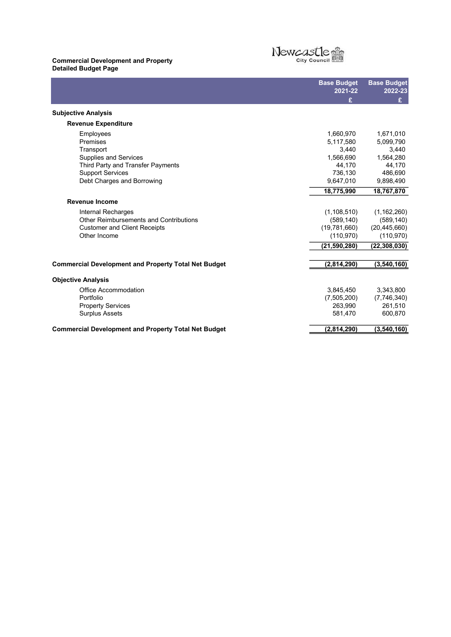#### Commercial Development and Property Detailed Budget Page L



Base Budget 2021-22 Base Budget 2022-23  $E = \sum_{i=1}^{n} E_i$ Subjective Analysis Revenue Expenditure Employees 1,671,010 Premises 5,099,790 Transport 3,440 3,440 Transport 3,440 3,440 3,440 3,440 3,440 3,440 3,440 3,440 3,440 3,440 3,440 3,440 3,440 3,440 3,440 3,440 3,440 3,440 3,440 5 and Services and Services and Services and Services and Services and Services and Services and S Third Party and Transfer Payments **44,170** 44,170 44,170<br>
Support Services 486,690 Support Services 486,690<br>
Debt Charges and Borrowing the contract of the contract of the contract of the contract of the contract of the contract of the contract of the contract of the contract of the contract of the contr Debt Charges and Borrowing 18,775,990 18,767,870 Revenue Income Internal Recharges (1,108,510) (1,162,260)<br>Other Reimbursements and Contributions (589,140) (589,140) (589,140) (589,140) Other Reimbursements and Contributions (589,140) (589,140) (589,140) (589,140) (589,140) (589,140) (589,140) Customer and Client Receipts (19,781,660) (20,445,660)<br>Other Income (110,970) (110,970) (110,970) (110,970) Other Income (21,590,280) (22,308,030) Commercial Development and Property Total Net Budget (2,814,290) (3,540,160) Objective Analysis Office Accommodation 3,845,450 3,343,800<br>
Portfolio (7,505,200) (7,746,340) Portfolio (7,505,200) (7,746,340) Property Services 261,510 261,510 261,510 261,510 261,510 261,510 261,510 261,510 261,510 261,510 261,510 261,510 Surplus Assets 581,470 600,870 Commercial Development and Property Total Net Budget (2,814,290) (3,540,160)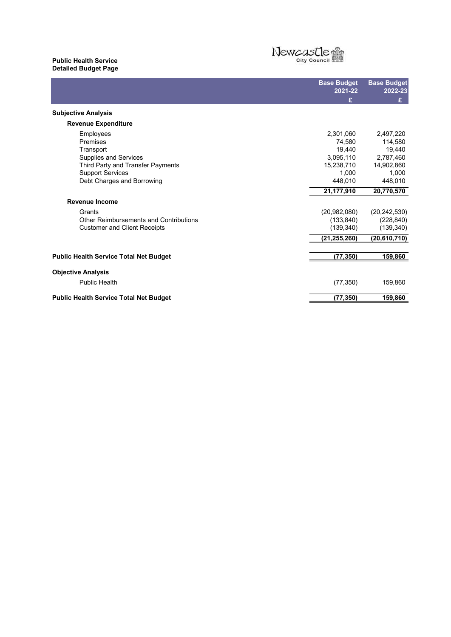# Public Health Service Detailed Budget Page



L Base Budget 2021-22 Base Budget 2022-23  $E = \sum_{i=1}^{n} E_i$ Subjective Analysis Revenue Expenditure Employees 2,301,060 2,497,220 Premises 2014,580 114,580 Transport 19,440 19,440 Transport 19,440 19,440<br>Supplies and Services 3,095,110 2,787,460 Third Party and Transfer Payments 15,238,710 14,902,860<br>
Support Services 1,000 1,000 Support Services 1,000 1,000<br>Debt Charges and Borrowing the contract of the contract of the contract of the contract of the 448,010 448,010 Debt Charges and Borrowing 21,177,910 20,770,570 Revenue Income Grants (20,982,080) (20,242,530) Other Reimbursements and Contributions (133,840) (228,840)<br>Customer and Client Receipts (139,340) (139,340) (139,340) Customer and Client Receipts (21,255,260) (20,610,710) Public Health Service Total Net Budget (77,350) 159,860 Objective Analysis Public Health (77,350) 159,860 Public Health Service Total Net Budget (77,350) 159,860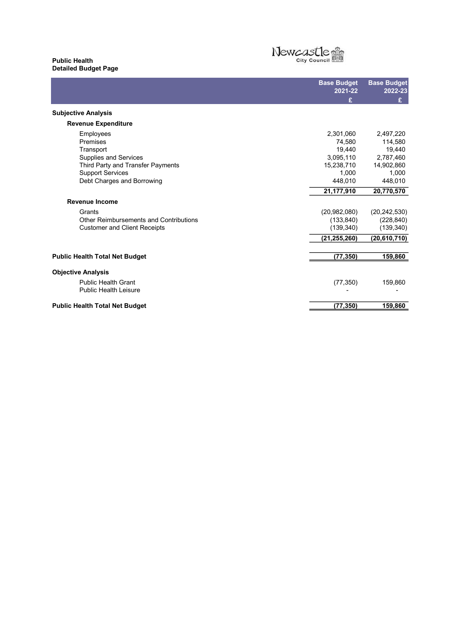#### Public Health Detailed Budget Page L

# Newcastle City Council

Base Budget 2021-22 Base Budget 2022-23  $E = \sum_{i=1}^{n} E_i$ Subjective Analysis Revenue Expenditure Employees 2,301,060 2,497,220 Premises 2014,580 114,580 Transport 19,440 19,440 Transport 19,440 19,440<br>Supplies and Services 3,095,110 2,787,460 Third Party and Transfer Payments 15,238,710 14,902,860<br>
Support Services 1,000 1,000 Support Services 1,000 1,000 1,000 1,000 1,000 1,000 1,000 1,000 1,000 1,000 1,000 1,000 1,000 1,000 1,000 1,000 1,000 1,000 1,000 1,000 1,000 1,000 1,000 1,000 1,000 1,000 1,000 1,000 1,000 1,000 1,000 1,000 1,000 1,000 1 Debt Charges and Borrowing 21,177,910 20,770,570 Revenue Income Grants (20,982,080) (20,242,530) Other Reimbursements and Contributions (133,840) (228,840)<br>Customer and Client Receipts (139,340) (139,340) (139,340) Customer and Client Receipts (21,255,260) (20,610,710) Public Health Total Net Budget (77,350) 159,860 Objective Analysis Public Health Grant (77,350) 159,860 Public Health Leisure - - Public Health Total Net Budget (77,350) 159,860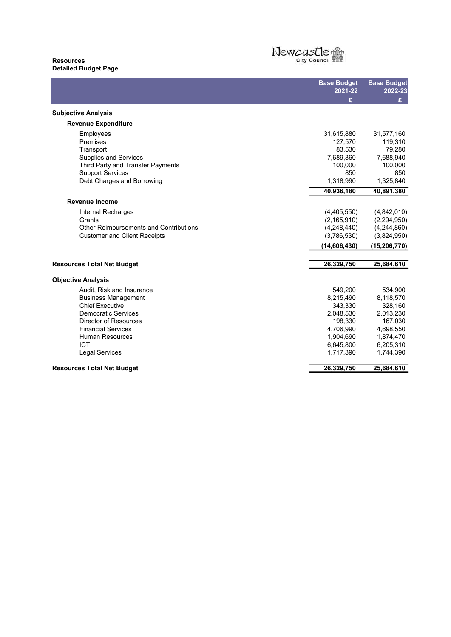## Resources Detailed Budget Page



|                                               | <b>Base Budget</b> | <b>Base Budget</b> |
|-----------------------------------------------|--------------------|--------------------|
|                                               | 2021-22            | 2022-23            |
|                                               | £                  | £                  |
| <b>Subjective Analysis</b>                    |                    |                    |
| <b>Revenue Expenditure</b>                    |                    |                    |
| Employees                                     | 31,615,880         | 31,577,160         |
| Premises                                      | 127,570            | 119,310            |
| Transport                                     | 83,530             | 79,280             |
| <b>Supplies and Services</b>                  | 7,689,360          | 7,688,940          |
| Third Party and Transfer Payments             | 100,000            | 100,000            |
| <b>Support Services</b>                       | 850                | 850                |
| Debt Charges and Borrowing                    | 1,318,990          | 1,325,840          |
|                                               | 40,936,180         | 40,891,380         |
| <b>Revenue Income</b>                         |                    |                    |
| Internal Recharges                            | (4,405,550)        | (4,842,010)        |
| Grants                                        | (2, 165, 910)      | (2, 294, 950)      |
| <b>Other Reimbursements and Contributions</b> | (4,248,440)        | (4,244,860)        |
| <b>Customer and Client Receipts</b>           | (3,786,530)        | (3,824,950)        |
|                                               | (14, 606, 430)     | (15, 206, 770)     |
| <b>Resources Total Net Budget</b>             | 26,329,750         | 25,684,610         |
|                                               |                    |                    |
| <b>Objective Analysis</b>                     |                    |                    |
| Audit, Risk and Insurance                     | 549,200            | 534,900            |
| <b>Business Management</b>                    | 8,215,490          | 8,118,570          |
| <b>Chief Executive</b>                        | 343,330            | 328,160            |
| <b>Democratic Services</b>                    | 2,048,530          | 2,013,230          |
| <b>Director of Resources</b>                  | 198,330            | 167,030            |
| <b>Financial Services</b>                     | 4,706,990          | 4,698,550          |
| <b>Human Resources</b>                        | 1,904,690          | 1,874,470          |
| ICT                                           | 6,645,800          | 6,205,310          |
| <b>Legal Services</b>                         | 1,717,390          | 1,744,390          |
| <b>Resources Total Net Budget</b>             | 26,329,750         | 25,684,610         |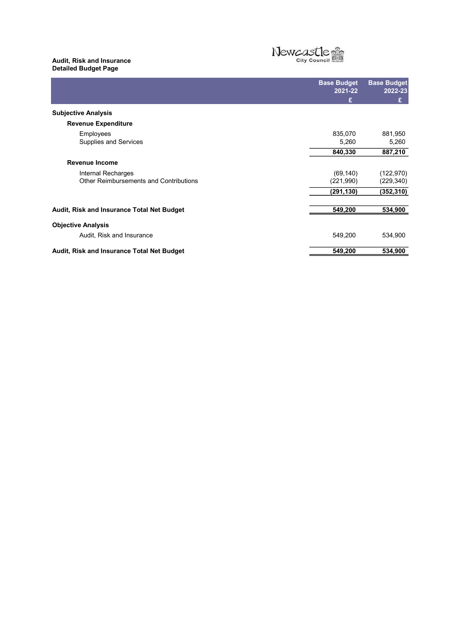### Audit, Risk and Insurance Detailed Budget Page

L



|                                            | <b>Base Budget</b><br>2021-22 | <b>Base Budget</b><br>2022-23 |
|--------------------------------------------|-------------------------------|-------------------------------|
|                                            | £                             | £                             |
| <b>Subjective Analysis</b>                 |                               |                               |
| <b>Revenue Expenditure</b>                 |                               |                               |
| Employees                                  | 835,070                       | 881,950                       |
| Supplies and Services                      | 5,260                         | 5,260                         |
|                                            | 840,330                       | 887,210                       |
| <b>Revenue Income</b>                      |                               |                               |
| Internal Recharges                         | (69, 140)                     | (122, 970)                    |
| Other Reimbursements and Contributions     | (221, 990)                    | (229,340)                     |
|                                            | (291, 130)                    | (352,310)                     |
| Audit, Risk and Insurance Total Net Budget | 549,200                       | 534,900                       |
|                                            |                               |                               |
| <b>Objective Analysis</b>                  |                               |                               |
| Audit, Risk and Insurance                  | 549,200                       | 534,900                       |
| Audit, Risk and Insurance Total Net Budget | 549,200                       | 534,900                       |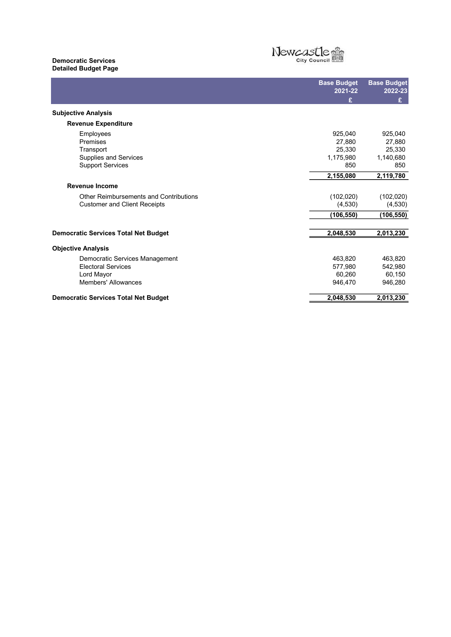# Democratic Services Detailed Budget Page



|                                                                                                  | <b>Base Budget</b><br>2021-22            | <b>Base Budget</b><br>2022-23            |
|--------------------------------------------------------------------------------------------------|------------------------------------------|------------------------------------------|
|                                                                                                  | £                                        | £                                        |
| <b>Subjective Analysis</b>                                                                       |                                          |                                          |
| <b>Revenue Expenditure</b>                                                                       |                                          |                                          |
| Employees<br>Premises<br>Transport<br>Supplies and Services                                      | 925,040<br>27,880<br>25,330<br>1,175,980 | 925,040<br>27,880<br>25,330<br>1,140,680 |
| <b>Support Services</b>                                                                          | 850                                      | 850                                      |
|                                                                                                  | 2,155,080                                | 2,119,780                                |
| <b>Revenue Income</b>                                                                            |                                          |                                          |
| Other Reimbursements and Contributions<br><b>Customer and Client Receipts</b>                    | (102, 020)<br>(4,530)                    | (102, 020)<br>(4, 530)                   |
|                                                                                                  | (106,550)                                | (106, 550)                               |
| <b>Democratic Services Total Net Budget</b>                                                      | 2,048,530                                | 2,013,230                                |
| <b>Objective Analysis</b>                                                                        |                                          |                                          |
| Democratic Services Management<br><b>Electoral Services</b><br>Lord Mayor<br>Members' Allowances | 463,820<br>577,980<br>60,260<br>946.470  | 463,820<br>542,980<br>60,150<br>946,280  |
| <b>Democratic Services Total Net Budget</b>                                                      | 2,048,530                                | 2,013,230                                |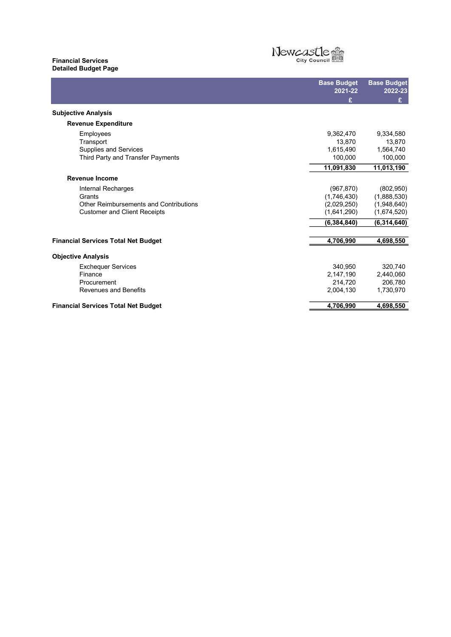#### Financial Services Detailed Budget Page L

I

# Newcastle

|                                            | <b>Base Budget</b><br>2021-22 | <b>Base Budget</b><br>2022-23 |
|--------------------------------------------|-------------------------------|-------------------------------|
|                                            | £                             | £                             |
| <b>Subjective Analysis</b>                 |                               |                               |
| <b>Revenue Expenditure</b>                 |                               |                               |
| Employees                                  | 9,362,470                     | 9,334,580                     |
| Transport                                  | 13,870                        | 13,870                        |
| Supplies and Services                      | 1,615,490                     | 1,564,740                     |
| Third Party and Transfer Payments          | 100.000                       | 100,000                       |
|                                            | 11,091,830                    | 11,013,190                    |
| Revenue Income                             |                               |                               |
| Internal Recharges                         | (967, 870)                    | (802, 950)                    |
| Grants                                     | (1,746,430)                   | (1,888,530)                   |
| Other Reimbursements and Contributions     | (2,029,250)                   | (1,948,640)                   |
| <b>Customer and Client Receipts</b>        | (1,641,290)                   | (1,674,520)                   |
|                                            | (6, 384, 840)                 | (6,314,640)                   |
|                                            |                               |                               |
| <b>Financial Services Total Net Budget</b> | 4,706,990                     | 4,698,550                     |
| <b>Objective Analysis</b>                  |                               |                               |
| <b>Exchequer Services</b>                  | 340,950                       | 320,740                       |
| Finance                                    | 2,147,190                     | 2,440,060                     |
| Procurement                                | 214,720                       | 206,780                       |
| <b>Revenues and Benefits</b>               | 2,004,130                     | 1,730,970                     |
| <b>Financial Services Total Net Budget</b> | 4,706,990                     | 4,698,550                     |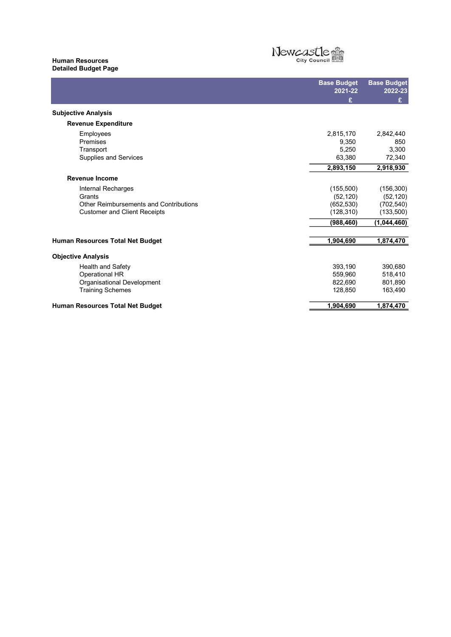# Human Resources Detailed Budget Page



|                                         | <b>Base Budget</b> | <b>Base Budget</b> |
|-----------------------------------------|--------------------|--------------------|
|                                         | 2021-22            | 2022-23            |
|                                         | £                  | £                  |
| <b>Subjective Analysis</b>              |                    |                    |
| <b>Revenue Expenditure</b>              |                    |                    |
| Employees                               | 2,815,170          | 2,842,440          |
| Premises                                | 9,350              | 850                |
| Transport                               | 5,250              | 3,300              |
| Supplies and Services                   | 63,380             | 72,340             |
|                                         | 2,893,150          | 2,918,930          |
| <b>Revenue Income</b>                   |                    |                    |
| Internal Recharges                      | (155,500)          | (156, 300)         |
| Grants                                  | (52, 120)          | (52, 120)          |
| Other Reimbursements and Contributions  | (652, 530)         | (702, 540)         |
| <b>Customer and Client Receipts</b>     | (128, 310)         | (133, 500)         |
|                                         | (988, 460)         | (1,044,460)        |
| <b>Human Resources Total Net Budget</b> | 1,904,690          | 1,874,470          |
|                                         |                    |                    |
| <b>Objective Analysis</b>               |                    |                    |
| <b>Health and Safety</b>                | 393,190            | 390,680            |
| Operational HR                          | 559,960            | 518,410            |
| Organisational Development              | 822,690            | 801,890            |
| <b>Training Schemes</b>                 | 128,850            | 163,490            |
| Human Resources Total Net Budget        | 1,904,690          | 1,874,470          |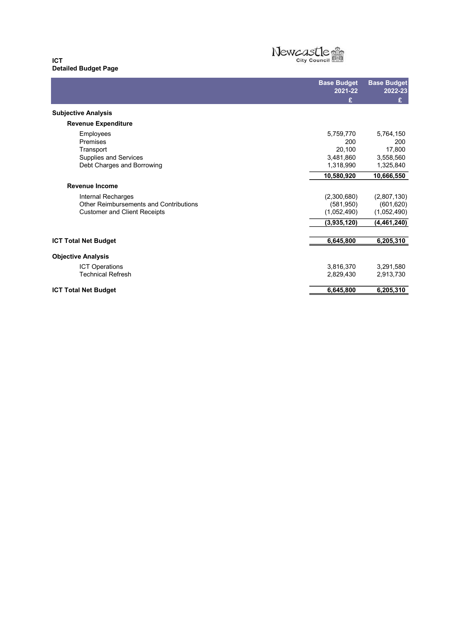#### ICT Detailed Budget Page L



|                                        | <b>Base Budget</b><br>2021-22 | <b>Base Budget</b><br>2022-23 |
|----------------------------------------|-------------------------------|-------------------------------|
|                                        | ç                             | £                             |
| <b>Subjective Analysis</b>             |                               |                               |
| <b>Revenue Expenditure</b>             |                               |                               |
| Employees                              | 5,759,770                     | 5,764,150                     |
| Premises                               | 200                           | 200                           |
| Transport                              | 20,100                        | 17,800                        |
| Supplies and Services                  | 3,481,860                     | 3,558,560                     |
| Debt Charges and Borrowing             | 1,318,990                     | 1,325,840                     |
|                                        | 10,580,920                    | 10,666,550                    |
| <b>Revenue Income</b>                  |                               |                               |
| Internal Recharges                     | (2,300,680)                   | (2,807,130)                   |
| Other Reimbursements and Contributions | (581, 950)                    | (601, 620)                    |
| <b>Customer and Client Receipts</b>    | (1,052,490)                   | (1,052,490)                   |
|                                        | (3,935,120)                   | (4,461,240)                   |
| <b>ICT Total Net Budget</b>            | 6,645,800                     | 6,205,310                     |
| <b>Objective Analysis</b>              |                               |                               |
|                                        |                               |                               |
| <b>ICT Operations</b>                  | 3,816,370                     | 3,291,580                     |
| <b>Technical Refresh</b>               | 2,829,430                     | 2,913,730                     |
| <b>ICT Total Net Budget</b>            | 6,645,800                     | 6,205,310                     |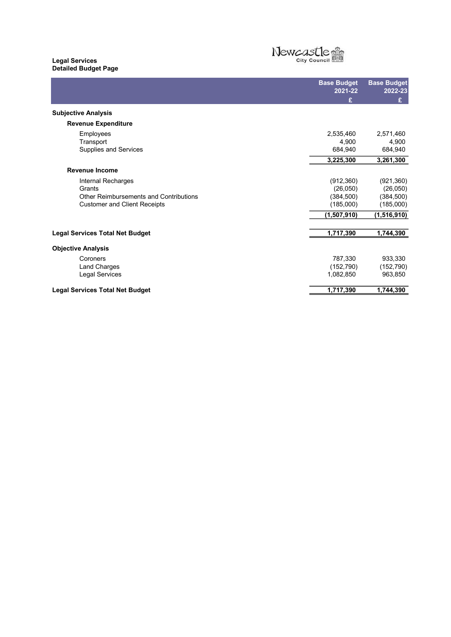#### Legal Services Detailed Budget Page L



|                                              | <b>Base Budget</b><br>2021-22 | <b>Base Budget</b><br>2022-23 |
|----------------------------------------------|-------------------------------|-------------------------------|
|                                              | £                             | £                             |
| <b>Subjective Analysis</b>                   |                               |                               |
| <b>Revenue Expenditure</b>                   |                               |                               |
| Employees                                    | 2,535,460                     | 2,571,460                     |
| Transport                                    | 4,900                         | 4,900                         |
| Supplies and Services                        | 684.940                       | 684,940                       |
|                                              | 3,225,300                     | 3,261,300                     |
| <b>Revenue Income</b>                        |                               |                               |
| Internal Recharges                           | (912, 360)                    | (921, 360)                    |
| Grants                                       | (26,050)                      | (26, 050)                     |
| Other Reimbursements and Contributions       | (384, 500)                    | (384, 500)                    |
| <b>Customer and Client Receipts</b>          | (185,000)                     | (185,000)                     |
|                                              | (1,507,910)                   | (1,516,910)                   |
| <b>Legal Services Total Net Budget</b>       | 1,717,390                     | 1,744,390                     |
| <b>Objective Analysis</b>                    |                               |                               |
|                                              |                               |                               |
| Coroners                                     | 787,330                       | 933,330                       |
| <b>Land Charges</b><br><b>Legal Services</b> | (152, 790)<br>1,082,850       | (152, 790)<br>963,850         |
|                                              |                               |                               |
| <b>Legal Services Total Net Budget</b>       | 1,717,390                     | 1,744,390                     |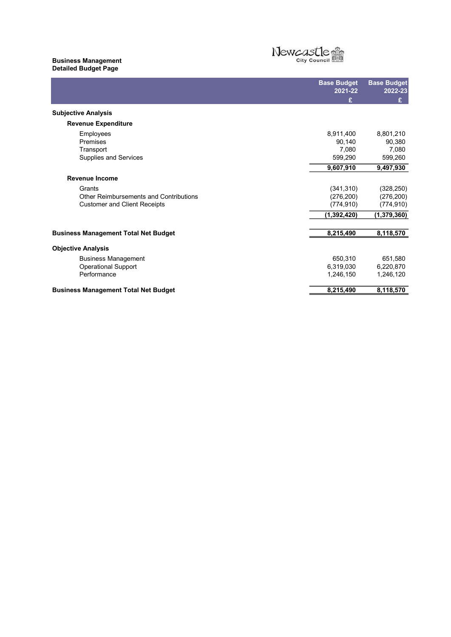#### Business Management Detailed Budget Page



|                                             | <b>Base Budget</b><br>2021-22 | <b>Base Budget</b><br>2022-23 |
|---------------------------------------------|-------------------------------|-------------------------------|
|                                             | £                             | £                             |
| <b>Subjective Analysis</b>                  |                               |                               |
| <b>Revenue Expenditure</b>                  |                               |                               |
| Employees                                   | 8,911,400                     | 8,801,210                     |
| Premises                                    | 90,140                        | 90,380                        |
| Transport                                   | 7,080                         | 7,080                         |
| Supplies and Services                       | 599,290                       | 599,260                       |
|                                             | 9,607,910                     | 9,497,930                     |
| <b>Revenue Income</b>                       |                               |                               |
| Grants                                      | (341, 310)                    | (328, 250)                    |
| Other Reimbursements and Contributions      | (276, 200)                    | (276, 200)                    |
| <b>Customer and Client Receipts</b>         | (774, 910)                    | (774, 910)                    |
|                                             | (1,392,420)                   | (1, 379, 360)                 |
| <b>Business Management Total Net Budget</b> | 8,215,490                     | 8,118,570                     |
|                                             |                               |                               |
| <b>Objective Analysis</b>                   |                               |                               |
| <b>Business Management</b>                  | 650.310                       | 651.580                       |
| <b>Operational Support</b>                  | 6,319,030                     | 6,220,870                     |
| Performance                                 | 1,246,150                     | 1,246,120                     |
| <b>Business Management Total Net Budget</b> | 8,215,490                     | 8,118,570                     |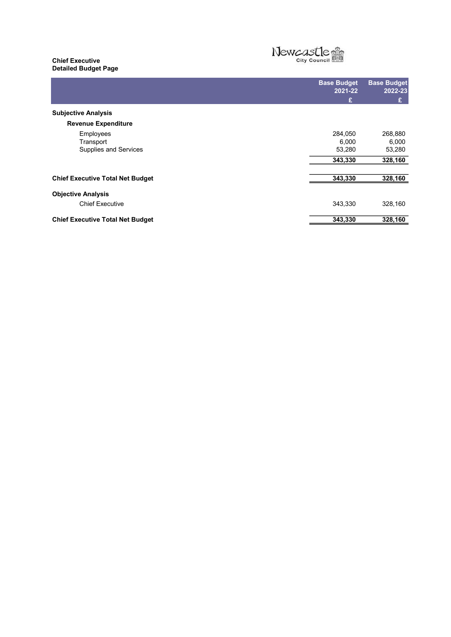#### Chief Executive Detailed Budget Page L



|                                         | <b>Base Budget</b><br>2021-22 | <b>Base Budget</b><br>2022-23 |
|-----------------------------------------|-------------------------------|-------------------------------|
|                                         | £                             | £                             |
| <b>Subjective Analysis</b>              |                               |                               |
| <b>Revenue Expenditure</b>              |                               |                               |
| Employees                               | 284.050                       | 268,880                       |
| Transport                               | 6,000                         | 6,000                         |
| Supplies and Services                   | 53,280                        | 53,280                        |
|                                         | 343,330                       | 328,160                       |
| <b>Chief Executive Total Net Budget</b> | 343,330                       | 328,160                       |
| <b>Objective Analysis</b>               |                               |                               |
| <b>Chief Executive</b>                  | 343,330                       | 328,160                       |
| <b>Chief Executive Total Net Budget</b> | 343,330                       | 328,160                       |